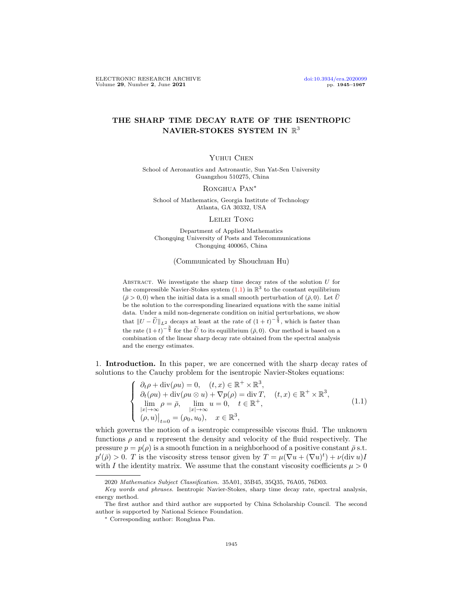## THE SHARP TIME DECAY RATE OF THE ISENTROPIC NAVIER-STOKES SYSTEM IN  $\mathbb{R}^3$

## YUHUI CHEN

School of Aeronautics and Astronautic, Sun Yat-Sen University Guangzhou 510275, China

## RONGHUA PAN<sup>\*</sup>

School of Mathematics, Georgia Institute of Technology Atlanta, GA 30332, USA

LEILEI TONG

Department of Applied Mathematics Chongqing University of Posts and Telecommunications Chongqing 400065, China

(Communicated by Shouchuan Hu)

ABSTRACT. We investigate the sharp time decay rates of the solution  $U$  for the compressible Navier-Stokes system  $(1.1)$  in  $\mathbb{R}^3$  to the constant equilibrium  $(\bar{\rho} > 0, 0)$  when the initial data is a small smooth perturbation of  $(\bar{\rho}, 0)$ . Let  $\tilde{U}$ be the solution to the corresponding linearized equations with the same initial data. Under a mild non-degenerate condition on initial perturbations, we show that  $||U - \tilde{U}||_{L^2}$  decays at least at the rate of  $(1 + t)^{-\frac{5}{4}}$ , which is faster than the rate  $(1+t)^{-\frac{3}{4}}$  for the  $\tilde{U}$  to its equilibrium  $(\bar{\rho}, 0)$ . Our method is based on a combination of the linear sharp decay rate obtained from the spectral analysis and the energy estimates.

1. Introduction. In this paper, we are concerned with the sharp decay rates of solutions to the Cauchy problem for the isentropic Navier-Stokes equations:

<span id="page-0-0"></span>
$$
\begin{cases}\n\partial_t \rho + \operatorname{div}(\rho u) = 0, & (t, x) \in \mathbb{R}^+ \times \mathbb{R}^3, \\
\partial_t (\rho u) + \operatorname{div}(\rho u \otimes u) + \nabla p(\rho) = \operatorname{div} T, & (t, x) \in \mathbb{R}^+ \times \mathbb{R}^3, \\
\lim_{|x| \to \infty} \rho = \bar{\rho}, & \lim_{|x| \to \infty} u = 0, \quad t \in \mathbb{R}^+, \\
(\rho, u)\big|_{t=0} = (\rho_0, u_0), & x \in \mathbb{R}^3,\n\end{cases}
$$
\n(1.1)

which governs the motion of a isentropic compressible viscous fluid. The unknown functions  $\rho$  and u represent the density and velocity of the fluid respectively. The pressure  $p = p(\rho)$  is a smooth function in a neighborhood of a positive constant  $\bar{\rho}$  s.t.  $p'(\bar{\rho}) > 0$ . T is the viscosity stress tensor given by  $T = \mu(\nabla u + (\nabla u)^t) + \nu(\text{div } u)I$ with I the identity matrix. We assume that the constant viscosity coefficients  $\mu > 0$ 

<sup>2020</sup> Mathematics Subject Classification. 35A01, 35B45, 35Q35, 76A05, 76D03.

Key words and phrases. Isentropic Navier-Stokes, sharp time decay rate, spectral analysis, energy method.

The first author and third author are supported by China Scholarship Council. The second author is supported by National Science Foundation.

<sup>∗</sup> Corresponding author: Ronghua Pan.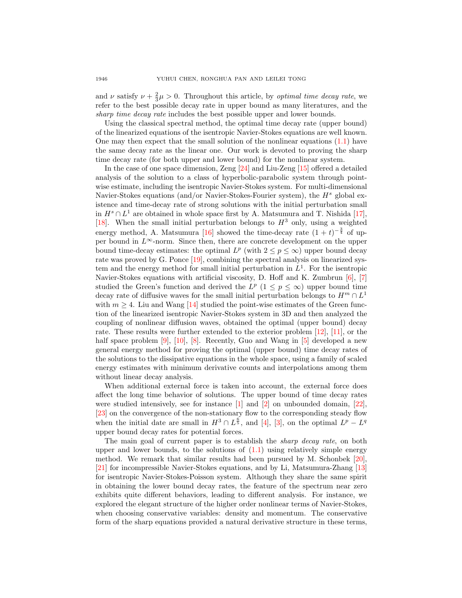and  $\nu$  satisfy  $\nu + \frac{2}{3}\mu > 0$ . Throughout this article, by *optimal time decay rate*, we refer to the best possible decay rate in upper bound as many literatures, and the sharp time decay rate includes the best possible upper and lower bounds.

Using the classical spectral method, the optimal time decay rate (upper bound) of the linearized equations of the isentropic Navier-Stokes equations are well known. One may then expect that the small solution of the nonlinear equations  $(1.1)$  have the same decay rate as the linear one. Our work is devoted to proving the sharp time decay rate (for both upper and lower bound) for the nonlinear system.

In the case of one space dimension, Zeng [\[24\]](#page-22-0) and Liu-Zeng [\[15\]](#page-22-1) offered a detailed analysis of the solution to a class of hyperbolic-parabolic system through pointwise estimate, including the isentropic Navier-Stokes system. For multi-dimensional Navier-Stokes equations (and/or Navier-Stokes-Fourier system), the  $H<sup>s</sup>$  global existence and time-decay rate of strong solutions with the initial perturbation small in  $H^s \cap L^1$  are obtained in whole space first by A. Matsumura and T. Nishida [\[17\]](#page-22-2), [\[18\]](#page-22-3). When the small initial perturbation belongs to  $H^3$  only, using a weighted energy method, A. Matsumura [\[16\]](#page-22-4) showed the time-decay rate  $(1 + t)^{-\frac{3}{4}}$  of upper bound in  $L^{\infty}$ -norm. Since then, there are concrete development on the upper bound time-decay estimates: the optimal  $L^p$  (with  $2 \leq p \leq \infty$ ) upper bound decay rate was proved by G. Ponce [\[19\]](#page-22-5), combining the spectral analysis on linearized system and the energy method for small initial perturbation in  $L<sup>1</sup>$ . For the isentropic Navier-Stokes equations with artificial viscosity, D. Hoff and K. Zumbrun [\[6\]](#page-21-0), [\[7\]](#page-21-1) studied the Green's function and derived the  $L^p$  ( $1 \leq p \leq \infty$ ) upper bound time decay rate of diffusive waves for the small initial perturbation belongs to  $H^m \cap L^1$ with  $m \geq 4$ . Liu and Wang [\[14\]](#page-22-6) studied the point-wise estimates of the Green function of the linearized isentropic Navier-Stokes system in 3D and then analyzed the coupling of nonlinear diffusion waves, obtained the optimal (upper bound) decay rate. These results were further extended to the exterior problem [\[12\]](#page-21-2), [\[11\]](#page-21-3), or the half space problem [\[9\]](#page-21-4), [\[10\]](#page-21-5), [\[8\]](#page-21-6). Recently, Guo and Wang in [\[5\]](#page-21-7) developed a new general energy method for proving the optimal (upper bound) time decay rates of the solutions to the dissipative equations in the whole space, using a family of scaled energy estimates with minimum derivative counts and interpolations among them without linear decay analysis.

When additional external force is taken into account, the external force does affect the long time behavior of solutions. The upper bound of time decay rates were studied intensively, see for instance  $\begin{bmatrix} 1 \end{bmatrix}$  and  $\begin{bmatrix} 2 \end{bmatrix}$  on unbounded domain,  $\begin{bmatrix} 22 \end{bmatrix}$ , [\[23\]](#page-22-8) on the convergence of the non-stationary flow to the corresponding steady flow when the initial date are small in  $H^3 \cap L^{\frac{6}{5}}$ , and [\[4\]](#page-21-10), [\[3\]](#page-21-11), on the optimal  $L^p - L^q$ upper bound decay rates for potential forces.

The main goal of current paper is to establish the *sharp decay rate*, on both upper and lower bounds, to the solutions of  $(1.1)$  using relatively simple energy method. We remark that similar results had been pursued by M. Schonbek [\[20\]](#page-22-9), [\[21\]](#page-22-10) for incompressible Navier-Stokes equations, and by Li, Matsumura-Zhang [\[13\]](#page-21-12) for isentropic Navier-Stokes-Poisson system. Although they share the same spirit in obtaining the lower bound decay rates, the feature of the spectrum near zero exhibits quite different behaviors, leading to different analysis. For instance, we explored the elegant structure of the higher order nonlinear terms of Navier-Stokes, when choosing conservative variables: density and momentum. The conservative form of the sharp equations provided a natural derivative structure in these terms,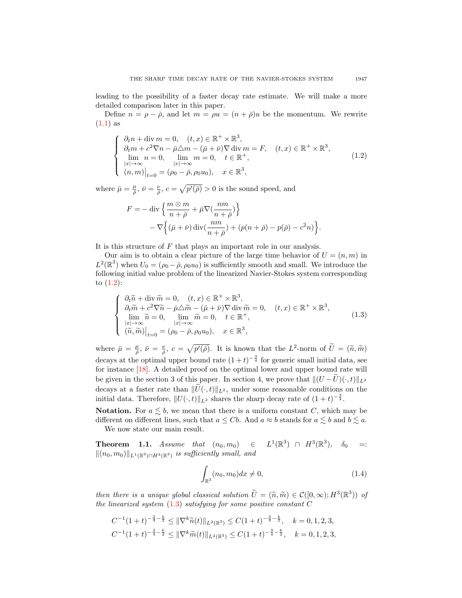leading to the possibility of a faster decay rate estimate. We will make a more detailed comparison later in this paper.

Define  $n = \rho - \bar{\rho}$ , and let  $m = \rho u = (n + \bar{\rho})u$  be the momentum. We rewrite  $(1.1)$  as

<span id="page-2-0"></span>
$$
\begin{cases}\n\partial_t n + \text{div } m = 0, & (t, x) \in \mathbb{R}^+ \times \mathbb{R}^3, \\
\partial_t m + c^2 \nabla n - \bar{\mu} \triangle m - (\bar{\mu} + \bar{\nu}) \nabla \text{ div } m = F, & (t, x) \in \mathbb{R}^+ \times \mathbb{R}^3, \\
\lim_{|x| \to \infty} n = 0, & \lim_{|x| \to \infty} m = 0, & t \in \mathbb{R}^+, \\
(n, m)|_{t=0} = (\rho_0 - \bar{\rho}, \rho_0 u_0), & x \in \mathbb{R}^3,\n\end{cases}
$$
\n(1.2)

where  $\bar{\mu} = \frac{\mu}{\bar{\rho}}, \bar{\nu} = \frac{\nu}{\bar{\rho}}, c = \sqrt{p'(\bar{\rho})} > 0$  is the sound speed, and

$$
F = -\operatorname{div}\left\{\frac{m\otimes m}{n+\bar{\rho}} + \bar{\mu}\nabla\left(\frac{nm}{n+\bar{\rho}}\right)\right\}
$$

$$
-\nabla\left\{(\bar{\mu}+\bar{\nu})\operatorname{div}\left(\frac{nm}{n+\bar{\rho}}\right) + \left(p(n+\bar{\rho}) - p(\bar{\rho}) - c^2n\right)\right\}.
$$

It is this structure of  $F$  that plays an important role in our analysis.

Our aim is to obtain a clear picture of the large time behavior of  $U = (n, m)$  in  $L^2(\mathbb{R}^3)$  when  $U_0 = (\rho_0 - \bar{\rho}, \rho_0 u_0)$  is sufficiently smooth and small. We introduce the following initial value problem of the linearized Navier-Stokes system corresponding to  $(1.2)$ :

<span id="page-2-1"></span>
$$
\begin{cases}\n\partial_t \widetilde{n} + \operatorname{div} \widetilde{m} = 0, & (t, x) \in \mathbb{R}^+ \times \mathbb{R}^3, \\
\partial_t \widetilde{m} + c^2 \nabla \widetilde{n} - \bar{\mu} \triangle \widetilde{m} - (\bar{\mu} + \bar{\nu}) \nabla \operatorname{div} \widetilde{m} = 0, & (t, x) \in \mathbb{R}^+ \times \mathbb{R}^3, \\
\lim_{|x| \to \infty} \widetilde{n} = 0, & \lim_{|x| \to \infty} \widetilde{m} = 0, & t \in \mathbb{R}^+, \\
(\widetilde{n}, \widetilde{m})\big|_{t=0} = (\rho_0 - \bar{\rho}, \rho_0 u_0), & x \in \mathbb{R}^3,\n\end{cases} (1.3)
$$

where  $\bar{\mu} = \frac{\mu}{\bar{\rho}}, \ \bar{\nu} = \frac{\nu}{\bar{\rho}}, \ c = \sqrt{p'(\bar{\rho})}.$  It is known that the  $L^2$ -norm of  $\tilde{U} = (\tilde{n}, \tilde{m})$ decays at the optimal upper bound rate  $(1+t)^{-\frac{3}{4}}$  for generic small initial data, see for instance [\[18\]](#page-22-3). A detailed proof on the optimal lower and upper bound rate will be given in the section 3 of this paper. In section 4, we prove that  $||(U - \overline{U})(\cdot, t)||_{L^2}$ decays at a faster rate than  $\|\widetilde{U}(\cdot, t)\|_{L^2}$ , under some reasonable conditions on the initial data. Therefore,  $||U(\cdot, t)||_{L^2}$  shares the sharp decay rate of  $(1 + t)^{-\frac{3}{4}}$ .

**Notation.** For  $a \leq b$ , we mean that there is a uniform constant C, which may be different on different lines, such that  $a \leq Cb$ . And  $a \approx b$  stands for  $a \leq b$  and  $b \leq a$ . We now state our main result.

<span id="page-2-3"></span>**Theorem 1.1.** Assume that  $(n_0, m_0)$   $\in$  $1(\mathbb{R}^3) \cap H^3(\mathbb{R}^3), \delta_0 =$  $\|(n_0, m_0)\|_{L^1(\mathbb{R}^3)\cap H^3(\mathbb{R}^3)}$  is sufficiently small, and

<span id="page-2-2"></span>
$$
\int_{\mathbb{R}^3} (n_0, m_0) dx \neq 0,
$$
\n(1.4)

then there is a unique global classical solution  $\widetilde{U} = (\widetilde{n}, \widetilde{m}) \in \mathcal{C}([0, \infty); H^3(\mathbb{R}^3))$  of<br>the linearized sustant  $(1, 3)$  satisfying for some positive constant  $C$ the linearized system  $(1.3)$  satisfying for some positive constant C

$$
C^{-1}(1+t)^{-\frac{3}{4}-\frac{k}{2}} \leq \|\nabla^k \widetilde{n}(t)\|_{L^2(\mathbb{R}^3)} \leq C(1+t)^{-\frac{3}{4}-\frac{k}{2}}, \quad k = 0, 1, 2, 3,
$$
  

$$
C^{-1}(1+t)^{-\frac{3}{4}-\frac{k}{2}} \leq \|\nabla^k \widetilde{m}(t)\|_{L^2(\mathbb{R}^3)} \leq C(1+t)^{-\frac{3}{4}-\frac{k}{2}}, \quad k = 0, 1, 2, 3,
$$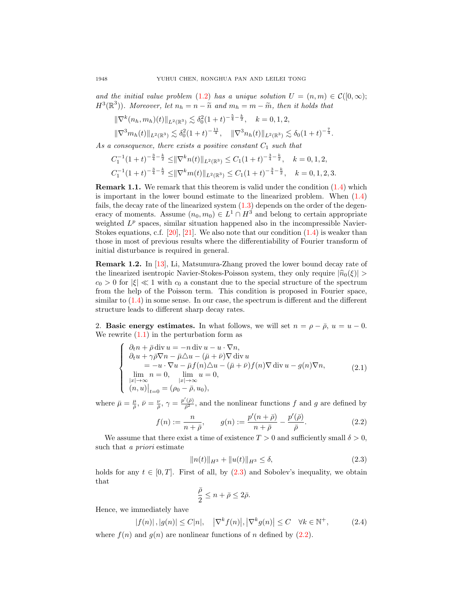and the initial value problem [\(1.2\)](#page-2-0) has a unique solution  $U = (n, m) \in \mathcal{C}([0, \infty));$  $H^3(\mathbb{R}^3)$ ). Moreover, let  $n_h = n - \widetilde{n}$  and  $m_h = m - \widetilde{m}$ , then it holds that

$$
\|\nabla^k (n_h, m_h)(t)\|_{L^2(\mathbb{R}^3)} \lesssim \delta_0^2 (1+t)^{-\frac{5}{4}-\frac{k}{2}}, \quad k = 0, 1, 2,
$$
  

$$
\|\nabla^3 m_h(t)\|_{L^2(\mathbb{R}^3)} \lesssim \delta_0^2 (1+t)^{-\frac{11}{4}}, \quad \|\nabla^3 n_h(t)\|_{L^2(\mathbb{R}^3)} \lesssim \delta_0 (1+t)^{-\frac{7}{4}}.
$$

As a consequence, there exists a positive constant  $C_1$  such that

$$
C_1^{-1}(1+t)^{-\frac{3}{4}-\frac{k}{2}} \leq \|\nabla^k n(t)\|_{L^2(\mathbb{R}^3)} \leq C_1(1+t)^{-\frac{3}{4}-\frac{k}{2}}, \quad k = 0, 1, 2,
$$
  

$$
C_1^{-1}(1+t)^{-\frac{3}{4}-\frac{k}{2}} \leq \|\nabla^k m(t)\|_{L^2(\mathbb{R}^3)} \leq C_1(1+t)^{-\frac{3}{4}-\frac{k}{2}}, \quad k = 0, 1, 2, 3.
$$

Remark 1.1. We remark that this theorem is valid under the condition [\(1.4\)](#page-2-2) which is important in the lower bound estimate to the linearized problem. When [\(1.4\)](#page-2-2) fails, the decay rate of the linearized system [\(1.3\)](#page-2-1) depends on the order of the degeneracy of moments. Assume  $(n_0, m_0) \in L^1 \cap H^3$  and belong to certain appropriate weighted  $L^p$  spaces, similar situation happened also in the incompressible Navier-Stokes equations, c.f.  $[20]$ ,  $[21]$ . We also note that our condition  $(1.4)$  is weaker than those in most of previous results where the differentiability of Fourier transform of initial disturbance is required in general.

Remark 1.2. In [\[13\]](#page-21-12), Li, Matsumura-Zhang proved the lower bound decay rate of the linearized isentropic Navier-Stokes-Poisson system, they only require  $|\hat{n}_0(\xi)| >$  $c_0 > 0$  for  $|\xi| \ll 1$  with  $c_0$  a constant due to the special structure of the spectrum from the help of the Poisson term. This condition is proposed in Fourier space, similar to  $(1.4)$  in some sense. In our case, the spectrum is different and the different structure leads to different sharp decay rates.

2. Basic energy estimates. In what follows, we will set  $n = \rho - \bar{\rho}$ ,  $u = u - 0$ . We rewrite  $(1.1)$  in the perturbation form as

<span id="page-3-2"></span>
$$
\begin{cases}\n\partial_t n + \bar{\rho} \operatorname{div} u = -n \operatorname{div} u - u \cdot \nabla n, \\
\partial_t u + \gamma \bar{\rho} \nabla n - \bar{\mu} \Delta u - (\bar{\mu} + \bar{\nu}) \nabla \operatorname{div} u \\
= -u \cdot \nabla u - \bar{\mu} f(n) \Delta u - (\bar{\mu} + \bar{\nu}) f(n) \nabla \operatorname{div} u - g(n) \nabla n, \\
\lim_{|x| \to \infty} n = 0, \quad \lim_{|x| \to \infty} u = 0, \\
(n, u)|_{t=0} = (\rho_0 - \bar{\rho}, u_0),\n\end{cases} \tag{2.1}
$$

where  $\bar{\mu} = \frac{\mu}{\bar{\rho}}, \bar{\nu} = \frac{\nu}{\bar{\rho}}, \gamma = \frac{p'(\bar{\rho})}{\bar{\rho}^2}$  $\frac{(\rho)}{\bar{\rho}^2}$ , and the nonlinear functions f and g are defined by

<span id="page-3-1"></span>
$$
f(n) := \frac{n}{n + \bar{\rho}}, \qquad g(n) := \frac{p'(n + \bar{\rho})}{n + \bar{\rho}} - \frac{p'(\bar{\rho})}{\bar{\rho}}.
$$
 (2.2)

We assume that there exist a time of existence  $T > 0$  and sufficiently small  $\delta > 0$ , such that a priori estimate

<span id="page-3-0"></span>
$$
||n(t)||_{H^3} + ||u(t)||_{H^3} \le \delta,
$$
\n(2.3)

holds for any  $t \in [0, T]$ . First of all, by [\(2.3\)](#page-3-0) and Sobolev's inequality, we obtain that

$$
\frac{\bar{\rho}}{2} \le n + \bar{\rho} \le 2\bar{\rho}.
$$

Hence, we immediately have

<span id="page-3-3"></span>
$$
|f(n)|, |g(n)| \le C|n|, \quad |\nabla^k f(n)|, |\nabla^k g(n)| \le C \quad \forall k \in \mathbb{N}^+, \tag{2.4}
$$

where  $f(n)$  and  $g(n)$  are nonlinear functions of n defined by  $(2.2)$ .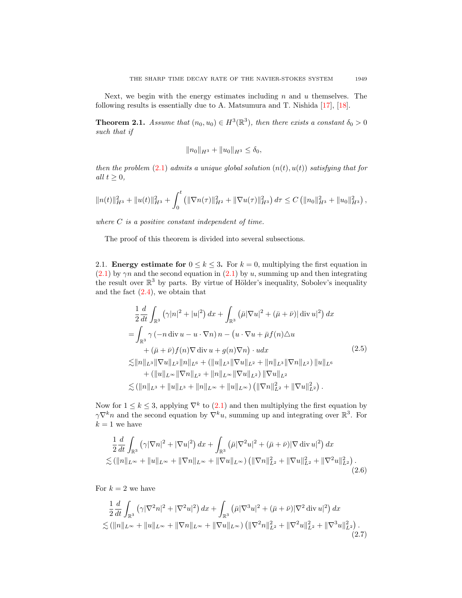Next, we begin with the energy estimates including  $n$  and  $u$  themselves. The following results is essentially due to A. Matsumura and T. Nishida [\[17\]](#page-22-2), [\[18\]](#page-22-3).

<span id="page-4-0"></span>**Theorem 2.1.** Assume that  $(n_0, u_0) \in H^3(\mathbb{R}^3)$ , then there exists a constant  $\delta_0 > 0$ such that if

$$
||n_0||_{H^3} + ||u_0||_{H^3} \le \delta_0,
$$

then the problem  $(2.1)$  admits a unique global solution  $(n(t), u(t))$  satisfying that for all  $t \geq 0$ ,

$$
||n(t)||_{H^3}^2 + ||u(t)||_{H^3}^2 + \int_0^t (||\nabla n(\tau)||_{H^2}^2 + ||\nabla u(\tau)||_{H^3}^2) d\tau \leq C (||n_0||_{H^3}^2 + ||u_0||_{H^3}^2),
$$

where  $C$  is a positive constant independent of time.

The proof of this theorem is divided into several subsections.

2.1. Energy estimate for  $0 \le k \le 3$ . For  $k = 0$ , multiplying the first equation in  $(2.1)$  by  $\gamma n$  and the second equation in  $(2.1)$  by u, summing up and then integrating the result over  $\mathbb{R}^3$  by parts. By virtue of Hölder's inequality, Sobolev's inequality and the fact  $(2.4)$ , we obtain that

$$
\frac{1}{2} \frac{d}{dt} \int_{\mathbb{R}^3} (\gamma |n|^2 + |u|^2) dx + \int_{\mathbb{R}^3} (\bar{\mu} |\nabla u|^2 + (\bar{\mu} + \bar{\nu}) | \operatorname{div} u|^2) dx \n= \int_{\mathbb{R}^3} \gamma (-n \operatorname{div} u - u \cdot \nabla n) n - (u \cdot \nabla u + \bar{\mu} f(n) \triangle u \n+ (\bar{\mu} + \bar{\nu}) f(n) \nabla \operatorname{div} u + g(n) \nabla n) \cdot u dx
$$
\n(2.5)  
\n
$$
\lesssim ||n||_{L^3} ||\nabla u||_{L^2} ||n||_{L^6} + (||u||_{L^3} ||\nabla u||_{L^2} + ||n||_{L^3} ||\nabla n||_{L^2}) ||u||_{L^6} \n+ (||u||_{L^\infty} ||\nabla n||_{L^2} + ||n||_{L^\infty} ||\nabla u||_{L^2}) ||\nabla u||_{L^2} \n\lesssim (||n||_{L^3} + ||u||_{L^3} + ||n||_{L^\infty} + ||u||_{L^\infty}) (||\nabla n||_{L^2}^2 + ||\nabla u||_{L^2}^2).
$$

Now for  $1 \leq k \leq 3$ , applying  $\nabla^k$  to  $(2.1)$  and then multiplying the first equation by  $\gamma \nabla^k n$  and the second equation by  $\nabla^k u$ , summing up and integrating over  $\mathbb{R}^3$ . For  $k = 1$  we have

$$
\frac{1}{2}\frac{d}{dt}\int_{\mathbb{R}^3} \left(\gamma |\nabla n|^2 + |\nabla u|^2\right) dx + \int_{\mathbb{R}^3} \left(\bar{\mu} |\nabla^2 u|^2 + (\bar{\mu} + \bar{\nu}) |\nabla \operatorname{div} u|^2\right) dx \n\lesssim (\|n\|_{L^\infty} + \|u\|_{L^\infty} + \|\nabla n\|_{L^\infty} + \|\nabla u\|_{L^\infty}) \left(\|\nabla n\|_{L^2}^2 + \|\nabla u\|_{L^2}^2 + \|\nabla^2 u\|_{L^2}^2\right).
$$
\n(2.6)

For  $k = 2$  we have

<span id="page-4-1"></span>
$$
\frac{1}{2}\frac{d}{dt}\int_{\mathbb{R}^3} \left(\gamma |\nabla^2 n|^2 + |\nabla^2 u|^2\right) dx + \int_{\mathbb{R}^3} \left(\bar{\mu} |\nabla^3 u|^2 + (\bar{\mu} + \bar{\nu}) |\nabla^2 \operatorname{div} u|^2\right) dx
$$
  

$$
\lesssim (\|n\|_{L^\infty} + \|u\|_{L^\infty} + \|\nabla n\|_{L^\infty} + \|\nabla u\|_{L^\infty}) \left(\|\nabla^2 n\|_{L^2}^2 + \|\nabla^2 u\|_{L^2}^2 + \|\nabla^3 u\|_{L^2}^2\right).
$$
\n(2.7)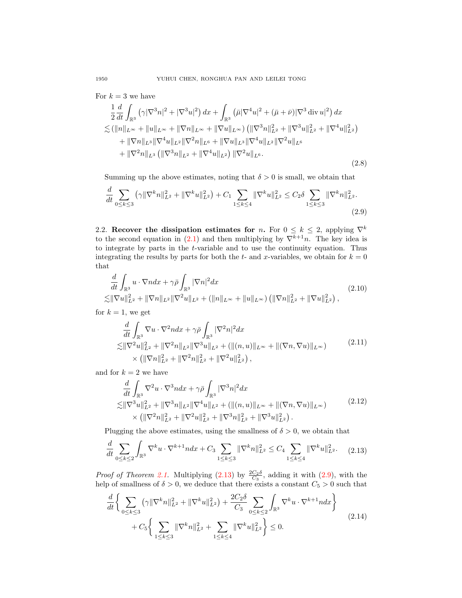For  $k = 3$  we have

<span id="page-5-4"></span>
$$
\frac{1}{2}\frac{d}{dt}\int_{\mathbb{R}^3} \left(\gamma |\nabla^3 n|^2 + |\nabla^3 u|^2\right) dx + \int_{\mathbb{R}^3} \left(\bar{\mu} |\nabla^4 u|^2 + (\bar{\mu} + \bar{\nu}) |\nabla^3 \operatorname{div} u|^2\right) dx \n\lesssim (\|n\|_{L^\infty} + \|u\|_{L^\infty} + \|\nabla n\|_{L^\infty} + \|\nabla u\|_{L^\infty}) \left(\|\nabla^3 n\|_{L^2}^2 + \|\nabla^3 u\|_{L^2}^2 + \|\nabla^4 u\|_{L^2}^2\right) \n+ \|\nabla n\|_{L^3} \|\nabla^4 u\|_{L^2} \|\nabla^2 n\|_{L^6} + \|\nabla u\|_{L^3} \|\nabla^4 u\|_{L^2} \|\nabla^2 u\|_{L^6} \n+ \|\nabla^2 n\|_{L^3} \left(\|\nabla^3 n\|_{L^2} + \|\nabla^4 u\|_{L^2}\right) \|\nabla^2 u\|_{L^6}.
$$
\n(2.8)

Summing up the above estimates, noting that  $\delta > 0$  is small, we obtain that

<span id="page-5-1"></span>
$$
\frac{d}{dt} \sum_{0 \le k \le 3} \left( \gamma \|\nabla^k n\|_{L^2}^2 + \|\nabla^k u\|_{L^2}^2 \right) + C_1 \sum_{1 \le k \le 4} \|\nabla^k u\|_{L^2}^2 \le C_2 \delta \sum_{1 \le k \le 3} \|\nabla^k n\|_{L^2}^2.
$$
\n(2.9)

2.2. Recover the dissipation estimates for n. For  $0 \leq k \leq 2$ , applying  $\nabla^k$ to the second equation in [\(2.1\)](#page-3-2) and then multiplying by  $\nabla^{\overline{k}+1}n$ . The key idea is to integrate by parts in the t-variable and to use the continuity equation. Thus integrating the results by parts for both the  $t$ - and  $x$ -variables, we obtain for  $k = 0$ that

$$
\frac{d}{dt} \int_{\mathbb{R}^3} u \cdot \nabla n dx + \gamma \bar{\rho} \int_{\mathbb{R}^3} |\nabla n|^2 dx
$$
\n
$$
\lesssim ||\nabla u||_{L^2}^2 + ||\nabla n||_{L^2} ||\nabla^2 u||_{L^2} + (||n||_{L^\infty} + ||u||_{L^\infty}) \left( ||\nabla n||_{L^2}^2 + ||\nabla u||_{L^2}^2 \right),
$$
\n(2.10)

for  $k = 1$ , we get

$$
\frac{d}{dt} \int_{\mathbb{R}^3} \nabla u \cdot \nabla^2 n dx + \gamma \bar{\rho} \int_{\mathbb{R}^3} |\nabla^2 n|^2 dx \n\lesssim ||\nabla^2 u||_{L^2}^2 + ||\nabla^2 n||_{L^2} ||\nabla^3 u||_{L^2} + (||(n, u)||_{L^\infty} + ||(\nabla n, \nabla u)||_{L^\infty}) \n\times (||\nabla n||_{L^2}^2 + ||\nabla^2 n||_{L^2}^2 + ||\nabla^2 u||_{L^2}^2),
$$
\n(2.11)

and for  $k = 2$  we have

<span id="page-5-3"></span>
$$
\frac{d}{dt} \int_{\mathbb{R}^3} \nabla^2 u \cdot \nabla^3 n dx + \gamma \bar{\rho} \int_{\mathbb{R}^3} |\nabla^3 n|^2 dx \n\lesssim ||\nabla^3 u||_{L^2}^2 + ||\nabla^3 n||_{L^2} ||\nabla^4 u||_{L^2} + (||(n, u)||_{L^\infty} + ||(\nabla n, \nabla u)||_{L^\infty}) \n\times (||\nabla^2 n||_{L^2}^2 + ||\nabla^2 u||_{L^2}^2 + ||\nabla^3 n||_{L^2}^2 + ||\nabla^3 u||_{L^2}^2).
$$
\n(2.12)

Plugging the above estimates, using the smallness of  $\delta > 0$ , we obtain that

<span id="page-5-0"></span>
$$
\frac{d}{dt} \sum_{0 \le k \le 2} \int_{\mathbb{R}^3} \nabla^k u \cdot \nabla^{k+1} n dx + C_3 \sum_{1 \le k \le 3} \|\nabla^k n\|_{L^2}^2 \le C_4 \sum_{1 \le k \le 4} \|\nabla^k u\|_{L^2}^2. \tag{2.13}
$$

*Proof of Theorem [2.1.](#page-4-0)* Multiplying  $(2.13)$  by  $\frac{2C_2\delta}{C_3}$ , adding it with  $(2.9)$ , with the help of smallness of  $\delta > 0$ , we deduce that there exists a constant  $C_5 > 0$  such that

<span id="page-5-2"></span>
$$
\frac{d}{dt} \Big\{ \sum_{0 \le k \le 3} (\gamma \| \nabla^k n \|_{L^2}^2 + \| \nabla^k u \|_{L^2}^2) + \frac{2C_2 \delta}{C_3} \sum_{0 \le k \le 2} \int_{\mathbb{R}^3} \nabla^k u \cdot \nabla^{k+1} n dx \Big\} + C_5 \Big\{ \sum_{1 \le k \le 3} \| \nabla^k n \|_{L^2}^2 + \sum_{1 \le k \le 4} \| \nabla^k u \|_{L^2}^2 \Big\} \le 0.
$$
\n(2.14)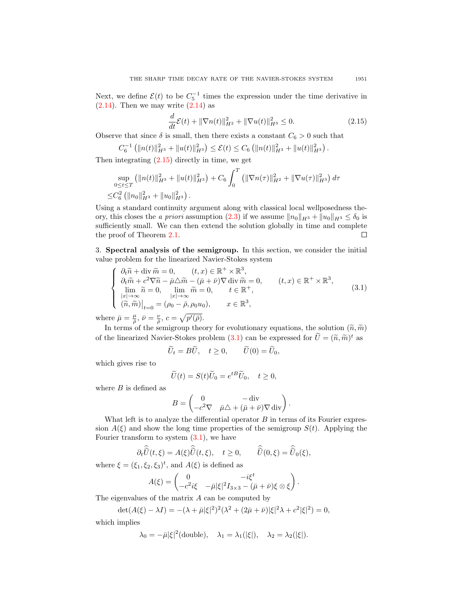Next, we define  $\mathcal{E}(t)$  to be  $C_5^{-1}$  times the expression under the time derivative in  $(2.14)$ . Then we may write  $(2.14)$  as

<span id="page-6-0"></span>
$$
\frac{d}{dt}\mathcal{E}(t) + \|\nabla n(t)\|_{H^2}^2 + \|\nabla u(t)\|_{H^3}^2 \le 0.
$$
\n(2.15)

Observe that since  $\delta$  is small, then there exists a constant  $C_6 > 0$  such that

$$
C_6^{-1} (||n(t)||_{H^3}^2 + ||u(t)||_{H^3}^2) \leq \mathcal{E}(t) \leq C_6 (||n(t)||_{H^3}^2 + ||u(t)||_{H^3}^2).
$$

Then integrating  $(2.15)$  directly in time, we get

$$
\sup_{0 \le t \le T} (\|n(t)\|_{H^3}^2 + \|u(t)\|_{H^3}^2) + C_6 \int_0^T (\|\nabla n(\tau)\|_{H^2}^2 + \|\nabla u(\tau)\|_{H^3}^2) d\tau \le C_6^2 (\|n_0\|_{H^3}^2 + \|u_0\|_{H^3}^2).
$$

Using a standard continuity argument along with classical local wellposedness the-ory, this closes the a priori assumption [\(2.3\)](#page-3-0) if we assume  $||n_0||_{H^3} + ||u_0||_{H^3} \le \delta_0$  is sufficiently small. We can then extend the solution globally in time and complete the proof of Theorem [2.1.](#page-4-0) П

3. Spectral analysis of the semigroup. In this section, we consider the initial value problem for the linearized Navier-Stokes system

<span id="page-6-1"></span>
$$
\begin{cases}\n\partial_t \widetilde{n} + \operatorname{div} \widetilde{m} = 0, & (t, x) \in \mathbb{R}^+ \times \mathbb{R}^3, \\
\partial_t \widetilde{m} + c^2 \nabla \widetilde{n} - \bar{\mu} \triangle \widetilde{m} - (\bar{\mu} + \bar{\nu}) \nabla \operatorname{div} \widetilde{m} = 0, & (t, x) \in \mathbb{R}^+ \times \mathbb{R}^3, \\
\lim_{|x| \to \infty} \widetilde{n} = 0, & \lim_{|x| \to \infty} \widetilde{m} = 0, & t \in \mathbb{R}^+, \\
(\widetilde{n}, \widetilde{m})\big|_{t=0} = (\rho_0 - \bar{\rho}, \rho_0 u_0), & x \in \mathbb{R}^3,\n\end{cases} (3.1)
$$

where  $\bar{\mu} = \frac{\mu}{\bar{\rho}}, \bar{\nu} = \frac{\nu}{\bar{\rho}}, c = \sqrt{p'(\bar{\rho})}.$ 

In terms of the semigroup theory for evolutionary equations, the solution  $(\tilde{n}, \tilde{m})$ of the linearized Navier-Stokes problem [\(3.1\)](#page-6-1) can be expressed for  $\tilde{U} = (\tilde{n}, \tilde{m})^t$  as

$$
\widetilde{U}_t = B\widetilde{U}, \quad t \ge 0, \qquad \widetilde{U}(0) = \widetilde{U}_0,
$$

which gives rise to

$$
\widetilde{U}(t) = S(t)\widetilde{U}_0 = e^{tB}\widetilde{U}_0, \quad t \ge 0,
$$

where  $B$  is defined as

$$
B = \begin{pmatrix} 0 & - \operatorname{div} \\ -c^2 \nabla & \bar{\mu} \triangle + (\bar{\mu} + \bar{\nu}) \nabla \operatorname{div} \end{pmatrix}.
$$

What left is to analyze the differential operator  $B$  in terms of its Fourier expression  $A(\xi)$  and show the long time properties of the semigroup  $S(t)$ . Applying the Fourier transform to system  $(3.1)$ , we have

$$
\partial_t \widehat{\widetilde{U}}(t,\xi) = A(\xi) \widehat{\widetilde{U}}(t,\xi), \quad t \ge 0, \qquad \widehat{\widetilde{U}}(0,\xi) = \widehat{\widetilde{U}}_0(\xi),
$$

where  $\xi = (\xi_1, \xi_2, \xi_3)^t$ , and  $A(\xi)$  is defined as

$$
A(\xi) = \begin{pmatrix} 0 & -i\xi^t \\ -c^2i\xi & -\bar{\mu}|\xi|^2 I_{3\times 3} - (\bar{\mu} + \bar{\nu})\xi \otimes \xi \end{pmatrix}.
$$

The eigenvalues of the matrix A can be computed by

$$
\det(A(\xi) - \lambda I) = -(\lambda + \bar{\mu}|\xi|^2)^2(\lambda^2 + (2\bar{\mu} + \bar{\nu})|\xi|^2\lambda + c^2|\xi|^2) = 0,
$$

which implies

$$
\lambda_0 = -\bar{\mu}|\xi|^2(\text{double}), \quad \lambda_1 = \lambda_1(|\xi|), \quad \lambda_2 = \lambda_2(|\xi|).
$$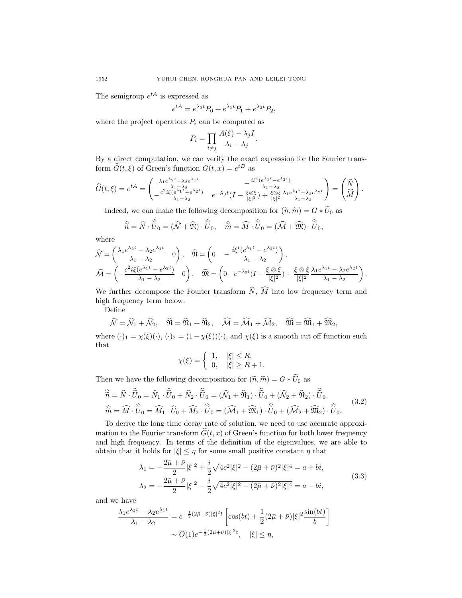The semigroup  $e^{tA}$  is expressed as

$$
e^{tA} = e^{\lambda_0 t} P_0 + e^{\lambda_1 t} P_1 + e^{\lambda_2 t} P_2,
$$

where the project operators  $P_i$  can be computed as

$$
P_i = \prod_{i \neq j} \frac{A(\xi) - \lambda_j I}{\lambda_i - \lambda_j}.
$$

By a direct computation, we can verify the exact expression for the Fourier transform  $\widehat{G}(t,\xi)$  of Green's function  $G(t,x) = e^{tB}$  as

$$
\widehat{G}(t,\xi) = e^{tA} = \begin{pmatrix} \frac{\lambda_1 e^{\lambda_2 t} - \lambda_2 e^{\lambda_1 t}}{\lambda_1 - \lambda_2} & -\frac{i\xi^t (e^{\lambda_1 t} - e^{\lambda_2 t})}{\lambda_1 - \lambda_2} \\ -\frac{c^2 i\xi (e^{\lambda_1 t} - e^{\lambda_2 t})}{\lambda_1 - \lambda_2} & e^{-\lambda_0 t} (I - \frac{\xi \otimes \xi}{|\xi|^2}) + \frac{\xi \otimes \xi}{|\xi|^2} \frac{\lambda_1 e^{\lambda_1 t} - \lambda_2 e^{\lambda_2 t}}{\lambda_1 - \lambda_2} \end{pmatrix} = \begin{pmatrix} \widehat{N} \\ \widehat{M} \end{pmatrix}.
$$

Indeed, we can make the following decomposition for  $(\tilde{n}, \tilde{m}) = G * U_0$  as

$$
\widehat{\widetilde{n}} = \widehat{N} \cdot \widehat{\widetilde{U}}_0 = (\widehat{\mathcal{N}} + \widehat{\mathfrak{N}}) \cdot \widehat{\widetilde{U}}_0, \quad \widehat{\widetilde{m}} = \widehat{M} \cdot \widehat{\widetilde{U}}_0 = (\widehat{\mathcal{M}} + \widehat{\mathfrak{M}}) \cdot \widehat{\widetilde{U}}_0,
$$

where

$$
\widehat{\mathcal{N}} = \left(\frac{\lambda_1 e^{\lambda_2 t} - \lambda_2 e^{\lambda_1 t}}{\lambda_1 - \lambda_2} \quad 0\right), \quad \widehat{\mathfrak{N}} = \left(0 \quad -\frac{i\xi^t (e^{\lambda_1 t} - e^{\lambda_2 t})}{\lambda_1 - \lambda_2}\right),
$$
\n
$$
\widehat{\mathcal{M}} = \left(-\frac{e^{2}i\xi (e^{\lambda_1 t} - e^{\lambda_2 t})}{\lambda_1 - \lambda_2} \quad 0\right), \quad \widehat{\mathfrak{M}} = \left(0 \quad e^{-\lambda_0 t} (I - \frac{\xi \otimes \xi}{|\xi|^2}) + \frac{\xi \otimes \xi}{|\xi|^2} \frac{\lambda_1 e^{\lambda_1 t} - \lambda_2 e^{\lambda_2 t}}{\lambda_1 - \lambda_2}\right).
$$

We further decompose the Fourier transform  $\hat{N}$ ,  $\hat{M}$  into low frequency term and high frequency term below.

Define

$$
\widehat{\mathcal{N}} = \widehat{\mathcal{N}}_1 + \widehat{\mathcal{N}}_2, \quad \widehat{\mathfrak{N}} = \widehat{\mathfrak{N}}_1 + \widehat{\mathfrak{N}}_2, \quad \widehat{\mathcal{M}} = \widehat{\mathcal{M}}_1 + \widehat{\mathcal{M}}_2, \quad \widehat{\mathfrak{M}} = \widehat{\mathfrak{M}}_1 + \widehat{\mathfrak{M}}_2,
$$

where  $(\cdot)_1 = \chi(\xi)(\cdot), (\cdot)_2 = (1 - \chi(\xi))(\cdot),$  and  $\chi(\xi)$  is a smooth cut off function such that

$$
\chi(\xi) = \begin{cases} 1, & |\xi| \le R, \\ 0, & |\xi| \ge R + 1. \end{cases}
$$

Then we have the following decomposition for  $(\widetilde{n}, \widetilde{m}) = G * \widetilde{U}_0$  as

$$
\widehat{\widetilde{n}} = \widehat{N} \cdot \widehat{\widetilde{U}}_0 = \widehat{N}_1 \cdot \widehat{\widetilde{U}}_0 + \widehat{N}_2 \cdot \widehat{\widetilde{U}}_0 = (\widehat{N}_1 + \widehat{\mathfrak{N}}_1) \cdot \widehat{\widetilde{U}}_0 + (\widehat{N}_2 + \widehat{\mathfrak{N}}_2) \cdot \widehat{\widetilde{U}}_0, \n\widehat{\widetilde{m}} = \widehat{M} \cdot \widehat{\widetilde{U}}_0 = \widehat{M}_1 \cdot \widehat{U}_0 + \widehat{M}_2 \cdot \widehat{\widetilde{U}}_0 = (\widehat{\mathcal{M}}_1 + \widehat{\mathfrak{M}}_1) \cdot \widehat{\widetilde{U}}_0 + (\widehat{\mathcal{M}}_2 + \widehat{\mathfrak{M}}_2) \cdot \widehat{\widetilde{U}}_0.
$$
\n(3.2)

To derive the long time decay rate of solution, we need to use accurate approximation to the Fourier transform  $\widehat{G}(t, x)$  of Green's function for both lower frequency and high frequency. In terms of the definition of the eigenvalues, we are able to obtain that it holds for  $|\xi| \leq \eta$  for some small positive constant  $\eta$  that

$$
\lambda_1 = -\frac{2\bar{\mu} + \bar{\nu}}{2} |\xi|^2 + \frac{i}{2} \sqrt{4c^2 |\xi|^2 - (2\bar{\mu} + \bar{\nu})^2 |\xi|^4} = a + bi,
$$
  

$$
\lambda_2 = -\frac{2\bar{\mu} + \bar{\nu}}{2} |\xi|^2 - \frac{i}{2} \sqrt{4c^2 |\xi|^2 - (2\bar{\mu} + \bar{\nu})^2 |\xi|^4} = a - bi,
$$
(3.3)

and we have

$$
\frac{\lambda_1 e^{\lambda_2 t} - \lambda_2 e^{\lambda_1 t}}{\lambda_1 - \lambda_2} = e^{-\frac{1}{2}(2\bar{\mu} + \bar{\nu})|\xi|^2 t} \left[ \cos(bt) + \frac{1}{2}(2\bar{\mu} + \bar{\nu})|\xi|^2 \frac{\sin(bt)}{b} \right] \sim O(1) e^{-\frac{1}{2}(2\bar{\mu} + \bar{\nu})|\xi|^2 t}, \quad |\xi| \le \eta,
$$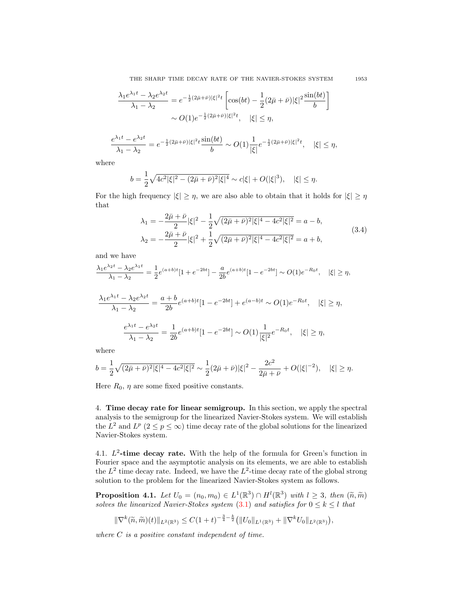THE SHARP TIME DECAY RATE OF THE NAVIER-STOKES SYSTEM 1953

$$
\frac{\lambda_1 e^{\lambda_1 t} - \lambda_2 e^{\lambda_2 t}}{\lambda_1 - \lambda_2} = e^{-\frac{1}{2}(2\bar{\mu} + \bar{\nu})|\xi|^2 t} \left[ \cos(bt) - \frac{1}{2}(2\bar{\mu} + \bar{\nu})|\xi|^2 \frac{\sin(bt)}{b} \right]
$$

$$
\sim O(1) e^{-\frac{1}{2}(2\bar{\mu} + \bar{\nu})|\xi|^2 t}, \quad |\xi| \le \eta,
$$

$$
\frac{e^{\lambda_1 t} - e^{\lambda_2 t}}{\lambda_1 - \lambda_2} = e^{-\frac{1}{2}(2\bar{\mu} + \bar{\nu})|\xi|^2 t} \frac{\sin(bt)}{b} \sim O(1) \frac{1}{|\xi|} e^{-\frac{1}{2}(2\bar{\mu} + \bar{\nu})|\xi|^2 t}, \quad |\xi| \le \eta,
$$

where

$$
b = \frac{1}{2}\sqrt{4c^2|\xi|^2 - (2\bar{\mu} + \bar{\nu})^2|\xi|^4} \sim c|\xi| + O(|\xi|^3), \quad |\xi| \le \eta.
$$

For the high frequency  $|\xi| \geq \eta$ , we are also able to obtain that it holds for  $|\xi| \geq \eta$ that

$$
\lambda_1 = -\frac{2\bar{\mu} + \bar{\nu}}{2} |\xi|^2 - \frac{1}{2} \sqrt{(2\bar{\mu} + \bar{\nu})^2 |\xi|^4 - 4c^2 |\xi|^2} = a - b,
$$
  

$$
\lambda_2 = -\frac{2\bar{\mu} + \bar{\nu}}{2} |\xi|^2 + \frac{1}{2} \sqrt{(2\bar{\mu} + \bar{\nu})^2 |\xi|^4 - 4c^2 |\xi|^2} = a + b,
$$
 (3.4)

and we have

$$
\frac{\lambda_1 e^{\lambda_2 t} - \lambda_2 e^{\lambda_1 t}}{\lambda_1 - \lambda_2} = \frac{1}{2} e^{(a+b)t} [1 + e^{-2bt}] - \frac{a}{2b} e^{(a+b)t} [1 - e^{-2bt}] \sim O(1) e^{-R_0 t}, \quad |\xi| \ge \eta,
$$

$$
\frac{\lambda_1 e^{\lambda_1 t} - \lambda_2 e^{\lambda_2 t}}{\lambda_1 - \lambda_2} = \frac{a+b}{2b} e^{(a+b)t} [1 - e^{-2bt}] + e^{(a-b)t} \sim O(1) e^{-R_0 t}, \quad |\xi| \ge \eta,
$$
  

$$
\frac{e^{\lambda_1 t} - e^{\lambda_2 t}}{\lambda_1 - \lambda_2} = \frac{1}{2b} e^{(a+b)t} [1 - e^{-2bt}] \sim O(1) \frac{1}{|\xi|^2} e^{-R_0 t}, \quad |\xi| \ge \eta,
$$

where

$$
b = \frac{1}{2}\sqrt{(2\bar{\mu}+\bar{\nu})^2|\xi|^4 - 4c^2|\xi|^2} \sim \frac{1}{2}(2\bar{\mu}+\bar{\nu})|\xi|^2 - \frac{2c^2}{2\bar{\mu}+\bar{\nu}} + O(|\xi|^{-2}), \quad |\xi| \ge \eta.
$$

Here  $R_0$ ,  $\eta$  are some fixed positive constants.

4. Time decay rate for linear semigroup. In this section, we apply the spectral analysis to the semigroup for the linearized Navier-Stokes system. We will establish the  $L^2$  and  $L^p$  ( $2 \le p \le \infty$ ) time decay rate of the global solutions for the linearized Navier-Stokes system.

4.1.  $L^2$ -time decay rate. With the help of the formula for Green's function in Fourier space and the asymptotic analysis on its elements, we are able to establish the  $L^2$  time decay rate. Indeed, we have the  $L^2$ -time decay rate of the global strong solution to the problem for the linearized Navier-Stokes system as follows.

<span id="page-8-0"></span>**Proposition 4.1.** Let  $U_0 = (n_0, m_0) \in L^1(\mathbb{R}^3) \cap H^l(\mathbb{R}^3)$  with  $l \geq 3$ , then  $(\tilde{n}, \tilde{m})$ <br>column the linearized Naviar Stakes eveters (2.1) and estimates for  $0 \leq k \leq l$  that solves the linearized Navier-Stokes system  $(3.1)$  and satisfies for  $0 \leq k \leq l$  that

$$
\|\nabla^k(\widetilde{n},\widetilde{m})(t)\|_{L^2(\mathbb{R}^3)} \leq C(1+t)^{-\frac{3}{4}-\frac{k}{2}} \big(\|U_0\|_{L^1(\mathbb{R}^3)} + \|\nabla^k U_0\|_{L^2(\mathbb{R}^3)}\big),
$$

where  $C$  is a positive constant independent of time.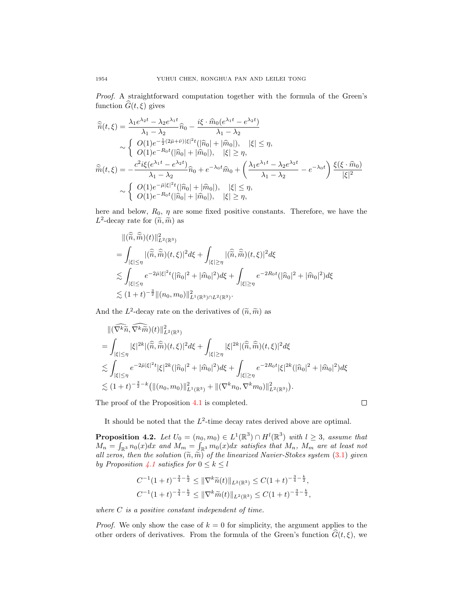Proof. A straightforward computation together with the formula of the Green's function  $\widehat{G}(t, \xi)$  gives

$$
\widehat{\tilde{n}}(t,\xi) = \frac{\lambda_1 e^{\lambda_2 t} - \lambda_2 e^{\lambda_1 t}}{\lambda_1 - \lambda_2} \widehat{n}_0 - \frac{i\xi \cdot \widehat{m}_0 (e^{\lambda_1 t} - e^{\lambda_2 t})}{\lambda_1 - \lambda_2} \n\sim \begin{cases}\nO(1) e^{-\frac{1}{2}(2\bar{\mu} + \bar{\nu})|\xi|^2 t} (|\widehat{n}_0| + |\widehat{m}_0|), & |\xi| \le \eta, \\
O(1) e^{-R_0 t} (|\widehat{n}_0| + |\widehat{m}_0|), & |\xi| \ge \eta,\n\end{cases}
$$
\n
$$
\widehat{\tilde{m}}(t,\xi) = -\frac{c^2 i\xi (e^{\lambda_1 t} - e^{\lambda_2 t})}{\lambda_1 - \lambda_2} \widehat{n}_0 + e^{-\lambda_0 t} \widehat{m}_0 + \left(\frac{\lambda_1 e^{\lambda_1 t} - \lambda_2 e^{\lambda_2 t}}{\lambda_1 - \lambda_2} - e^{-\lambda_0 t}\right) \frac{\xi(\xi \cdot \widehat{m}_0)}{|\xi|^2} \n\sim \begin{cases}\nO(1) e^{-\bar{\mu}|\xi|^2 t} (|\widehat{n}_0| + |\widehat{m}_0|), & |\xi| \le \eta, \\
O(1) e^{-R_0 t} (|\widehat{n}_0| + |\widehat{m}_0|), & |\xi| \ge \eta,\n\end{cases}
$$

here and below,  $R_0$ ,  $\eta$  are some fixed positive constants. Therefore, we have the  $L^2$ -decay rate for  $(\widetilde{n}, \widetilde{m})$  as

$$
\begin{split}\n&\|(\widehat{\hat{n}},\widehat{\hat{m}})(t)\|_{L^{2}(\mathbb{R}^{3})}^{2} \\
&= \int_{|\xi| \leq \eta} |(\widehat{\hat{n}},\widehat{\hat{m}})(t,\xi)|^{2} d\xi + \int_{|\xi| \geq \eta} |(\widehat{\hat{n}},\widehat{\hat{m}})(t,\xi)|^{2} d\xi \\
&\lesssim \int_{|\xi| \leq \eta} e^{-2\bar{\mu}|\xi|^{2}t} (|\widehat{n}_{0}|^{2} + |\widehat{m}_{0}|^{2}) d\xi + \int_{|\xi| \geq \eta} e^{-2R_{0}t} (|\widehat{n}_{0}|^{2} + |\widehat{m}_{0}|^{2}) d\xi \\
&\lesssim (1+t)^{-\frac{3}{2}} \|(n_{0},m_{0})\|_{L^{1}(\mathbb{R}^{3}) \cap L^{2}(\mathbb{R}^{3})}^{2}.\n\end{split}
$$

And the  $L^2$ -decay rate on the derivatives of  $(\tilde{n}, \tilde{m})$  as

$$
\begin{split} &\| (\widehat{\nabla^k \widetilde{n}}, \widehat{\nabla^k \widetilde{m}})(t) \|_{L^2(\mathbb{R}^3)}^2 \\ &= \int_{|\xi| \leq \eta} |\xi|^{2k} |(\widehat{\widetilde{n}}, \widehat{\widetilde{m}})(t,\xi)|^2 d\xi + \int_{|\xi| \geq \eta} |\xi|^{2k} |(\widehat{\widetilde{n}}, \widehat{\widetilde{m}})(t,\xi)|^2 d\xi \\ &\lesssim \int_{|\xi| \leq \eta} e^{-2\bar{\mu} |\xi|^2 t} |\xi|^{2k} (|\widehat{n}_0|^2 + |\widehat{m}_0|^2) d\xi + \int_{|\xi| \geq \eta} e^{-2R_0 t} |\xi|^{2k} (|\widehat{n}_0|^2 + |\widehat{m}_0|^2) d\xi \\ &\lesssim (1+t)^{-\frac{3}{2} - k} \big( \| (n_0, m_0) \|_{L^1(\mathbb{R}^3)}^2 + \| (\nabla^k n_0, \nabla^k m_0) \|_{L^2(\mathbb{R}^3)}^2 \big). \end{split}
$$

The proof of the Proposition [4.1](#page-8-0) is completed.

 $\Box$ 

It should be noted that the  $L^2$ -time decay rates derived above are optimal.

<span id="page-9-0"></span>**Proposition 4.2.** Let  $U_0 = (n_0, m_0) \in L^1(\mathbb{R}^3) \cap H^l(\mathbb{R}^3)$  with  $l \geq 3$ , assume that  $M_n = \int_{\mathbb{R}^3} n_0(x) dx$  and  $M_m = \int_{\mathbb{R}^3} m_0(x) dx$  satisfies that  $M_n$ ,  $M_m$  are at least not all zeros, then the solution  $(\widetilde{n}, \widetilde{m})$  of the linearized Navier-Stokes system  $(3.1)$  given by Proposition [4.1](#page-8-0) satisfies for  $0 \leq k \leq l$ 

$$
C^{-1}(1+t)^{-\frac{3}{4}-\frac{k}{2}} \leq \|\nabla^k \widetilde{n}(t)\|_{L^2(\mathbb{R}^3)} \leq C(1+t)^{-\frac{3}{4}-\frac{k}{2}},
$$
  

$$
C^{-1}(1+t)^{-\frac{3}{4}-\frac{k}{2}} \leq \|\nabla^k \widetilde{m}(t)\|_{L^2(\mathbb{R}^3)} \leq C(1+t)^{-\frac{3}{4}-\frac{k}{2}},
$$

where  $C$  is a positive constant independent of time.

*Proof.* We only show the case of  $k = 0$  for simplicity, the argument applies to the other orders of derivatives. From the formula of the Green's function  $G(t, \xi)$ , we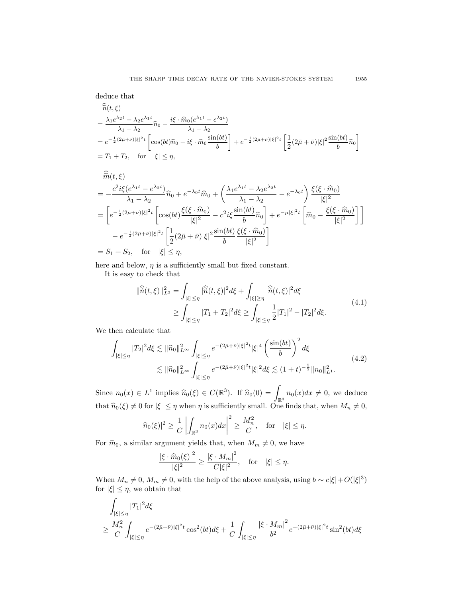deduce that

$$
\begin{split} &\widetilde{n}(t,\xi) \\ &= \frac{\lambda_1 e^{\lambda_2 t} - \lambda_2 e^{\lambda_1 t}}{\lambda_1 - \lambda_2} \widehat{n}_0 - \frac{i\xi \cdot \widehat{m}_0(e^{\lambda_1 t} - e^{\lambda_2 t})}{\lambda_1 - \lambda_2} \\ &= e^{-\frac{1}{2}(2\bar{\mu} + \bar{\nu})|\xi|^2 t} \left[ \cos(bt)\widehat{n}_0 - i\xi \cdot \widehat{m}_0 \frac{\sin(bt)}{b} \right] + e^{-\frac{1}{2}(2\bar{\mu} + \bar{\nu})|\xi|^2 t} \left[ \frac{1}{2}(2\bar{\mu} + \bar{\nu})|\xi|^2 \frac{\sin(bt)}{b} \widehat{n}_0 \right] \\ &= T_1 + T_2, \quad \text{for} \quad |\xi| \le \eta, \end{split}
$$

$$
\hat{\tilde{m}}(t,\xi) = -\frac{c^2 i \xi (e^{\lambda_1 t} - e^{\lambda_2 t})}{\lambda_1 - \lambda_2} \hat{n}_0 + e^{-\lambda_0 t} \hat{m}_0 + \left(\frac{\lambda_1 e^{\lambda_1 t} - \lambda_2 e^{\lambda_2 t}}{\lambda_1 - \lambda_2} - e^{-\lambda_0 t}\right) \frac{\xi(\xi \cdot \hat{m}_0)}{|\xi|^2} \n= \left[e^{-\frac{1}{2}(2\bar{\mu} + \bar{\nu})|\xi|^2 t} \left[\cos(bt) \frac{\xi(\xi \cdot \hat{m}_0)}{|\xi|^2} - c^2 i \xi \frac{\sin(bt)}{b} \hat{n}_0\right] + e^{-\bar{\mu}|\xi|^2 t} \left[\hat{m}_0 - \frac{\xi(\xi \cdot \hat{m}_0)}{|\xi|^2}\right] \right] \n- e^{-\frac{1}{2}(2\bar{\mu} + \bar{\nu})|\xi|^2 t} \left[\frac{1}{2}(2\bar{\mu} + \bar{\nu})|\xi|^2 \frac{\sin(bt)}{b} \frac{\xi(\xi \cdot \hat{m}_0)}{|\xi|^2}\right] \n= S_1 + S_2, \text{ for } |\xi| \leq \eta,
$$

here and below,  $\eta$  is a sufficiently small but fixed constant.

<span id="page-10-0"></span>It is easy to check that

$$
\|\widehat{\widetilde{n}}(t,\xi)\|_{L^2}^2 = \int_{|\xi| \le \eta} |\widehat{\widetilde{n}}(t,\xi)|^2 d\xi + \int_{|\xi| \ge \eta} |\widehat{\widetilde{n}}(t,\xi)|^2 d\xi
$$
\n
$$
\ge \int_{|\xi| \le \eta} |T_1 + T_2|^2 d\xi \ge \int_{|\xi| \le \eta} \frac{1}{2} |T_1|^2 - |T_2|^2 d\xi. \tag{4.1}
$$

We then calculate that

<span id="page-10-1"></span>
$$
\int_{|\xi| \le \eta} |T_2|^2 d\xi \lesssim \|\hat{n}_0\|_{L^\infty}^2 \int_{|\xi| \le \eta} e^{-(2\bar{\mu} + \bar{\nu})|\xi|^2 t} |\xi|^4 \left(\frac{\sin(bt)}{b}\right)^2 d\xi
$$
\n
$$
\lesssim \|\hat{n}_0\|_{L^\infty}^2 \int_{|\xi| \le \eta} e^{-(2\bar{\mu} + \bar{\nu})|\xi|^2 t} |\xi|^2 d\xi \lesssim (1+t)^{-\frac{5}{2}} \|n_0\|_{L^1}^2.
$$
\n(4.2)

Since  $n_0(x) \in L^1$  implies  $\widehat{n}_0(\xi) \in C(\mathbb{R}^3)$ . If  $\widehat{n}_0(0) = \int_{\mathbb{R}^3} n_0(x) dx \neq 0$ , we deduce that  $\widehat{n}_0(\xi) \neq 0$  for  $|\xi| \leq \eta$  when  $\eta$  is sufficiently small. One finds that, when  $M_n \neq 0$ ,

$$
|\widehat{n}_0(\xi)|^2 \ge \frac{1}{C} \left| \int_{\mathbb{R}^3} n_0(x) dx \right|^2 \ge \frac{M_n^2}{C}, \quad \text{for} \quad |\xi| \le \eta.
$$

For  $\hat{m}_0$ , a similar argument yields that, when  $M_m \neq 0$ , we have

$$
\frac{|\xi \cdot \widehat{m}_0(\xi)|^2}{|\xi|^2} \ge \frac{|\xi \cdot M_m|^2}{C|\xi|^2}, \quad \text{for} \quad |\xi| \le \eta.
$$

When  $M_n \neq 0$ ,  $M_m \neq 0$ , with the help of the above analysis, using  $b \sim c |\xi| + O(|\xi|^3)$ for  $|\xi| \leq \eta$ , we obtain that

<span id="page-10-2"></span>
$$
\int_{|\xi| \le \eta} |T_1|^2 d\xi
$$
\n
$$
\ge \frac{M_n^2}{C} \int_{|\xi| \le \eta} e^{-(2\bar{\mu} + \bar{\nu})|\xi|^2 t} \cos^2(bt) d\xi + \frac{1}{C} \int_{|\xi| \le \eta} \frac{|\xi \cdot M_m|^2}{b^2} e^{-(2\bar{\mu} + \bar{\nu})|\xi|^2 t} \sin^2(bt) d\xi
$$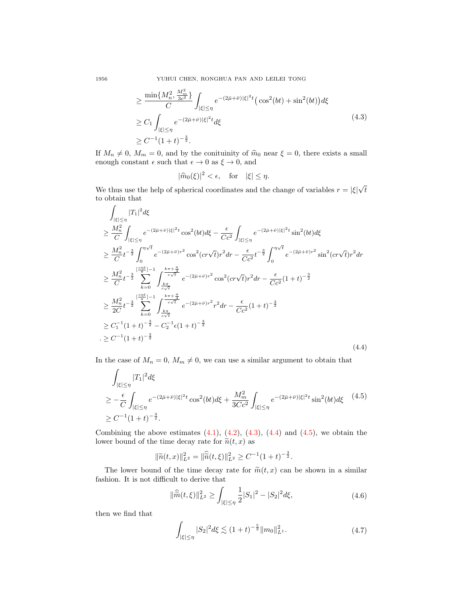1956 YUHUI CHEN, RONGHUA PAN AND LEILEI TONG

$$
\geq \frac{\min\{M_n^2, \frac{M_m^2}{3c^2}\}}{C} \int_{|\xi| \leq \eta} e^{-(2\bar{\mu} + \bar{\nu})|\xi|^2 t} \left(\cos^2(bt) + \sin^2(bt)\right) d\xi
$$
  
\n
$$
\geq C_1 \int_{|\xi| \leq \eta} e^{-(2\bar{\mu} + \bar{\nu})|\xi|^2 t} d\xi
$$
  
\n
$$
\geq C^{-1} (1 + t)^{-\frac{3}{2}}.
$$
\n(4.3)

If  $M_n \neq 0$ ,  $M_m = 0$ , and by the conituinity of  $\hat{m}_0$  near  $\xi = 0$ , there exists a small enough constant  $\epsilon$  such that  $\epsilon \to 0$  as  $\xi \to 0$ , and

$$
|\widehat{m}_0(\xi)|^2 < \epsilon, \quad \text{for} \quad |\xi| \le \eta.
$$

We thus use the help of spherical coordinates and the change of variables  $r = |\xi|$ √ t to obtain that

<span id="page-11-0"></span>
$$
\int_{|\xi| \le \eta} |T_1|^2 d\xi
$$
\n
$$
\ge \frac{M_n^2}{C} \int_{|\xi| \le \eta} e^{-(2\bar{\mu} + \bar{\nu})|\xi|^2 t} \cos^2(bt) d\xi - \frac{\epsilon}{Cc^2} \int_{|\xi| \le \eta} e^{-(2\bar{\mu} + \bar{\nu})|\xi|^2 t} \sin^2(bt) d\xi
$$
\n
$$
\ge \frac{M_n^2}{C} t^{-\frac{3}{2}} \int_0^{\eta \sqrt{t}} e^{-(2\bar{\mu} + \bar{\nu})r^2} \cos^2(c r \sqrt{t}) r^2 dr - \frac{\epsilon}{Cc^2} t^{-\frac{3}{2}} \int_0^{\eta \sqrt{t}} e^{-(2\bar{\mu} + \bar{\nu})r^2} \sin^2(c r \sqrt{t}) r^2 dr
$$
\n
$$
\ge \frac{M_n^2}{C} t^{-\frac{3}{2}} \sum_{k=0}^{\lfloor \frac{cnt}{\bar{\tau}} \rfloor - 1} \int_{\frac{k\pi}{c\sqrt{t}}}^{\frac{k\pi + \frac{\pi}{4}}{c\sqrt{t}}} e^{-(2\bar{\mu} + \bar{\nu})r^2} \cos^2(c r \sqrt{t}) r^2 dr - \frac{\epsilon}{Cc^2} (1 + t)^{-\frac{3}{2}}
$$
\n
$$
\ge \frac{M_n^2}{2C} t^{-\frac{3}{2}} \sum_{k=0}^{\lfloor \frac{cnt}{\bar{\tau}} \rfloor - 1} \int_{\frac{k\pi}{c\sqrt{t}}}^{\frac{k\pi + \frac{\pi}{4}}{c\sqrt{t}}} e^{-(2\bar{\mu} + \bar{\nu})r^2} r^2 dr - \frac{\epsilon}{Cc^2} (1 + t)^{-\frac{3}{2}}
$$
\n
$$
\ge C_1^{-1} (1 + t)^{-\frac{3}{2}} - C_2^{-1} \epsilon (1 + t)^{-\frac{3}{2}}
$$
\n
$$
\ge C^{-1} (1 + t)^{-\frac{3}{2}}
$$
\n
$$
(4.4)
$$

In the case of  $M_n = 0$ ,  $M_m \neq 0$ , we can use a similar argument to obtain that

<span id="page-11-1"></span>
$$
\int_{|\xi| \le \eta} |T_1|^2 d\xi
$$
\n
$$
\ge -\frac{\epsilon}{C} \int_{|\xi| \le \eta} e^{-(2\bar{\mu} + \bar{\nu})|\xi|^2 t} \cos^2(bt) d\xi + \frac{M_m^2}{3Cc^2} \int_{|\xi| \le \eta} e^{-(2\bar{\mu} + \bar{\nu})|\xi|^2 t} \sin^2(bt) d\xi \quad (4.5)
$$
\n
$$
\ge C^{-1} (1+t)^{-\frac{3}{2}}.
$$

Combining the above estimates  $(4.1)$ ,  $(4.2)$ ,  $(4.3)$ ,  $(4.4)$  and  $(4.5)$ , we obtain the lower bound of the time decay rate for  $\tilde{n}(t, x)$  as

$$
\|\widetilde{n}(t,x)\|_{L^2}^2 = \|\widehat{\widetilde{n}}(t,\xi)\|_{L^2}^2 \ge C^{-1}(1+t)^{-\frac{3}{2}}.
$$

The lower bound of the time decay rate for  $\widetilde{m}(t, x)$  can be shown in a similar fashion. It is not difficult to derive that

$$
\|\widehat{\widetilde{m}}(t,\xi)\|_{L^2}^2 \ge \int_{|\xi| \le \eta} \frac{1}{2} |S_1|^2 - |S_2|^2 d\xi, \tag{4.6}
$$

<span id="page-11-3"></span><span id="page-11-2"></span>then we find that

$$
\int_{|\xi| \le \eta} |S_2|^2 d\xi \lesssim (1+t)^{-\frac{5}{2}} \|m_0\|_{L^1}^2.
$$
 (4.7)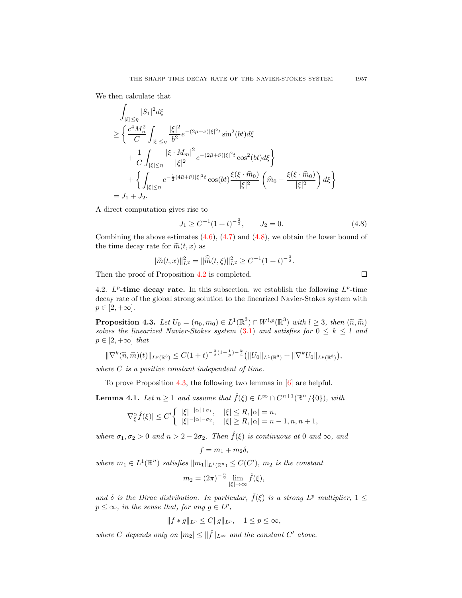We then calculate that

$$
\int_{|\xi| \leq \eta} |S_1|^2 d\xi
$$
\n
$$
\geq \left\{ \frac{c^4 M_n^2}{C} \int_{|\xi| \leq \eta} \frac{|\xi|^2}{b^2} e^{-(2\bar{\mu} + \bar{\nu})|\xi|^2 t} \sin^2(bt) d\xi + \frac{1}{C} \int_{|\xi| \leq \eta} \frac{|\xi \cdot M_m|^2}{|\xi|^2} e^{-(2\bar{\mu} + \bar{\nu})|\xi|^2 t} \cos^2(bt) d\xi \right\}
$$
\n
$$
+ \left\{ \int_{|\xi| \leq \eta} e^{-\frac{1}{2}(4\bar{\mu} + \bar{\nu})|\xi|^2 t} \cos(bt) \frac{\xi(\xi \cdot \hat{m}_0)}{|\xi|^2} \left( \hat{m}_0 - \frac{\xi(\xi \cdot \hat{m}_0)}{|\xi|^2} \right) d\xi \right\}
$$
\n
$$
= J_1 + J_2.
$$

A direct computation gives rise to

<span id="page-12-0"></span>
$$
J_1 \ge C^{-1} (1+t)^{-\frac{3}{2}}, \qquad J_2 = 0. \tag{4.8}
$$

 $\Box$ 

Combining the above estimates  $(4.6)$ ,  $(4.7)$  and  $(4.8)$ , we obtain the lower bound of the time decay rate for  $\widetilde{m}(t, x)$  as

$$
\|\widetilde{m}(t,x)\|_{L^2}^2 = \|\widehat{\widetilde{m}}(t,\xi)\|_{L^2}^2 \ge C^{-1}(1+t)^{-\frac{3}{2}}.
$$

Then the proof of Proposition [4.2](#page-9-0) is completed.

4.2.  $L^p$ -time decay rate. In this subsection, we establish the following  $L^p$ -time decay rate of the global strong solution to the linearized Navier-Stokes system with  $p \in [2, +\infty].$ 

<span id="page-12-1"></span>**Proposition 4.3.** Let  $U_0 = (n_0, m_0) \in L^1(\mathbb{R}^3) \cap W^{l,p}(\mathbb{R}^3)$  with  $l \geq 3$ , then  $(\tilde{n}, \tilde{m})$  coluge the linearized Navigr Stokes system (3.1) and satisfies for  $0 \leq k \leq l$  and solves the linearized Navier-Stokes system  $(3.1)$  and satisfies for  $0 \leq k \leq l$  and  $p \in [2, +\infty]$  that

$$
\|\nabla^k(\widetilde{n},\widetilde{m})(t)\|_{L^p(\mathbb{R}^3)} \leq C(1+t)^{-\frac{3}{2}(1-\frac{1}{p})-\frac{k}{2}}\big(\|U_0\|_{L^1(\mathbb{R}^3)} + \|\nabla^k U_0\|_{L^p(\mathbb{R}^3)}\big),
$$

where  $C$  is a positive constant independent of time.

To prove Proposition [4.3,](#page-12-1) the following two lemmas in [\[6\]](#page-21-0) are helpful.

<span id="page-12-2"></span>**Lemma 4.1.** Let  $n \geq 1$  and assume that  $\hat{f}(\xi) \in L^{\infty} \cap C^{n+1}(\mathbb{R}^n / \{0\})$ , with

$$
|\nabla_{\xi}^{\alpha}\hat{f}(\xi)| \le C' \begin{cases} |\xi|^{-|\alpha| + \sigma_1}, & |\xi| \le R, |\alpha| = n, \\ |\xi|^{-|\alpha| - \sigma_2}, & |\xi| \ge R, |\alpha| = n - 1, n, n + 1, \end{cases}
$$

where  $\sigma_1, \sigma_2 > 0$  and  $n > 2 - 2\sigma_2$ . Then  $\hat{f}(\xi)$  is continuous at 0 and  $\infty$ , and

$$
f = m_1 + m_2 \delta,
$$

where  $m_1 \in L^1(\mathbb{R}^n)$  satisfies  $||m_1||_{L^1(\mathbb{R}^n)} \leq C(C')$ ,  $m_2$  is the constant

$$
m_2 = (2\pi)^{-\frac{n}{2}} \lim_{|\xi| \to \infty} \hat{f}(\xi),
$$

and  $\delta$  is the Dirac distribution. In particular,  $\hat{f}(\xi)$  is a strong  $L^p$  multiplier,  $1 \leq$  $p \leq \infty$ , in the sense that, for any  $g \in L^p$ ,

$$
||f * g||_{L^p} \le C||g||_{L^p}, \quad 1 \le p \le \infty,
$$

where C depends only on  $|m_2| \leq ||\hat{f}||_{L^{\infty}}$  and the constant C' above.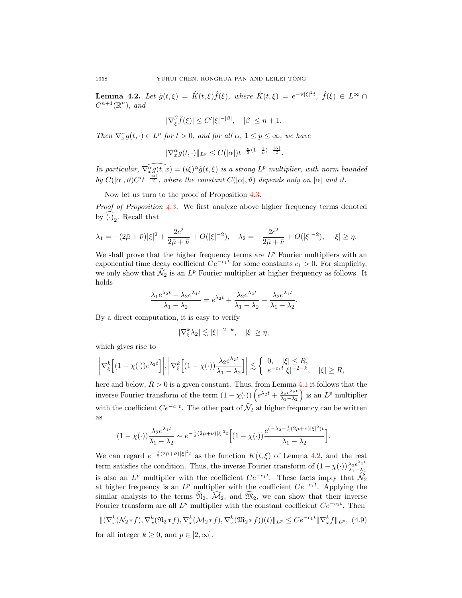<span id="page-13-0"></span>**Lemma 4.2.** Let  $\hat{g}(t,\xi) = \hat{K}(t,\xi)\hat{f}(\xi)$ , where  $\hat{K}(t,\xi) = e^{-\vartheta |\xi|^2 t}$ ,  $\hat{f}(\xi) \in L^{\infty}$  $C^{n+1}(\mathbb{R}^n)$ , and

$$
|\nabla_{\xi}^{\beta}\hat{f}(\xi)| \le C' |\xi|^{-|\beta|}, \quad |\beta| \le n+1.
$$

Then  $\nabla_x^{\alpha} g(t, \cdot) \in L^p$  for  $t > 0$ , and for all  $\alpha$ ,  $1 \le p \le \infty$ , we have

$$
\|\nabla_x^{\alpha} g(t,\cdot)\|_{L^p} \leq C(|\alpha|)t^{-\frac{n}{2}(1-\frac{1}{p})-\frac{|\alpha|}{2}}.
$$

In particular,  $\widehat{\nabla_x^{\alpha} g(t, x)} = (i\xi)^{\alpha} \hat{g}(t, \xi)$  is a strong  $L^p$  multiplier, with norm bounded by  $C(|\alpha|, \vartheta)C't^{-\frac{|\alpha|}{2}}$ , where the constant  $C(|\alpha|, \vartheta)$  depends only on  $|\alpha|$  and  $\vartheta$ .

Now let us turn to the proof of Proposition [4.3.](#page-12-1)

*Proof of Proposition [4.3.](#page-12-1)* We first analyze above higher frequency terms denoted by  $(\cdot)_2$ . Recall that

$$
\lambda_1 = -(2\bar{\mu} + \bar{\nu})|\xi|^2 + \frac{2c^2}{2\bar{\mu} + \bar{\nu}} + O(|\xi|^{-2}), \quad \lambda_2 = -\frac{2c^2}{2\bar{\mu} + \bar{\nu}} + O(|\xi|^{-2}), \quad |\xi| \ge \eta.
$$

We shall prove that the higher frequency terms are  $L^p$  Fourier multipliers with an exponential time decay coefficient  $Ce^{-c_1t}$  for some constants  $c_1 > 0$ . For simplicity, we only show that  $\hat{N}_2$  is an  $L^p$  Fourier multiplier at higher frequency as follows. It holds

$$
\frac{\lambda_1 e^{\lambda_2 t} - \lambda_2 e^{\lambda_1 t}}{\lambda_1 - \lambda_2} = e^{\lambda_2 t} + \frac{\lambda_2 e^{\lambda_2 t}}{\lambda_1 - \lambda_2} - \frac{\lambda_2 e^{\lambda_1 t}}{\lambda_1 - \lambda_2}.
$$

By a direct computation, it is easy to verify

$$
|\nabla_{\xi}^{k}\lambda_{2}| \lesssim |\xi|^{-2-k}, \quad |\xi| \geq \eta,
$$

which gives rise to

$$
\left|\nabla_{\xi}^{k}\left[(1-\chi(\cdot))e^{\lambda_{2}t}\right]\right|, \left|\nabla_{\xi}^{k}\left[(1-\chi(\cdot))\frac{\lambda_{2}e^{\lambda_{2}t}}{\lambda_{1}-\lambda_{2}}\right]\right| \lesssim \left\{\begin{array}{ll}0, & |\xi|\leq R, \\ e^{-c_{1}t}|\xi|^{-2-k}, & |\xi|\geq R,\end{array}\right.
$$

here and below,  $R > 0$  is a given constant. Thus, from Lemma [4.1](#page-12-2) it follows that the inverse Fourier transform of the term  $(1 - \chi(\cdot)) \left( e^{\lambda_2 t} + \frac{\lambda_2 e^{\lambda_2 t}}{\lambda_1 - \lambda_2} \right)$  $\frac{\lambda_2 e^{\lambda_2 t}}{\lambda_1 - \lambda_2}$  is an  $L^p$  multiplier with the coefficient  $Ce^{-c_1t}$ . The other part of  $\tilde{\mathcal{N}}_2$  at higher frequency can be written as

$$
(1 - \chi(\cdot))\frac{\lambda_2 e^{\lambda_1 t}}{\lambda_1 - \lambda_2} \sim e^{-\frac{1}{2}(2\bar{\mu} + \bar{\nu})|\xi|^2 t} \Big[ (1 - \chi(\cdot)) \frac{e^{(-\lambda_2 - \frac{1}{2}(2\bar{\mu} + \bar{\nu})|\xi|^2)t}}{\lambda_1 - \lambda_2} \Big].
$$

We can regard  $e^{-\frac{1}{2}(2\bar{\mu}+\bar{\nu})|\xi|^2t}$  as the function  $K(t,\xi)$  of Lemma [4.2,](#page-13-0) and the rest term satisfies the condition. Thus, the inverse Fourier transform of  $(1 - \chi(\cdot))\frac{\lambda_2 e^{\lambda_1 t}}{\lambda_1 - \lambda_2}$  $\lambda_1-\lambda_2$ is also an  $L^p$  multiplier with the coefficient  $Ce^{-c_1t}$ . These facts imply that  $\widehat{\mathcal{N}}_2$ at higher frequency is an  $L^p$  multiplier with the coefficient  $Ce^{-c_1t}$ . Applying the similar analysis to the terms  $\widehat{\mathfrak{N}}_2$ ,  $\widehat{\mathcal{M}}_2$ , and  $\widehat{\mathfrak{M}}_2$ , we can show that their inverse Fourier transform are all  $L^p$  multiplier with the constant coefficient  $Ce^{-c_1t}$ . Then

<span id="page-13-1"></span>
$$
\|(\nabla_x^k(\mathcal{N}_2 * f), \nabla_x^k(\mathfrak{N}_2 * f), \nabla_x^k(\mathcal{M}_2 * f), \nabla_x^k(\mathfrak{M}_2 * f))(t)\|_{L^p} \le Ce^{-c_1 t} \|\nabla_x^k f\|_{L^p}, \tag{4.9}
$$

for all integer  $k \geq 0$ , and  $p \in [2, \infty]$ .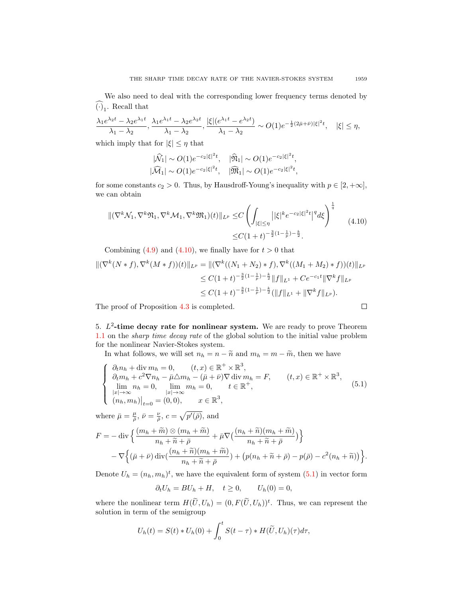We also need to deal with the corresponding lower frequency terms denoted by  $(\cdot)_1$ . Recall that

$$
\frac{\lambda_1 e^{\lambda_2 t} - \lambda_2 e^{\lambda_1 t}}{\lambda_1 - \lambda_2}, \frac{\lambda_1 e^{\lambda_1 t} - \lambda_2 e^{\lambda_2 t}}{\lambda_1 - \lambda_2}, \frac{|\xi|(e^{\lambda_1 t} - e^{\lambda_2 t})}{\lambda_1 - \lambda_2} \sim O(1) e^{-\frac{1}{2}(2\bar{\mu} + \bar{\nu})|\xi|^2 t}, \quad |\xi| \le \eta,
$$

which imply that for  $|\xi| \leq \eta$  that

$$
|\widehat{\mathcal{M}}_1| \sim O(1) e^{-c_2 |\xi|^2 t}, \quad |\widehat{\mathfrak{N}}_1| \sim O(1) e^{-c_2 |\xi|^2 t}, |\widehat{\mathcal{M}}_1| \sim O(1) e^{-c_2 |\xi|^2 t}, \quad |\widehat{\mathfrak{M}}_1| \sim O(1) e^{-c_2 |\xi|^2 t},
$$

for some constants  $c_2 > 0$ . Thus, by Hausdroff-Young's inequality with  $p \in [2, +\infty]$ , we can obtain

<span id="page-14-0"></span>
$$
\begin{split} \|\nabla^k \mathcal{N}_1, \nabla^k \mathfrak{N}_1, \nabla^k \mathcal{M}_1, \nabla^k \mathfrak{N}_1)(t)\|_{L^p} &\leq & C \left( \int_{|\xi| \leq \eta} \left| |\xi|^k e^{-c_2 |\xi|^2 t} \right|^q d\xi \right)^{\frac{1}{q}} \\ &\leq & C \left( 1 + t \right)^{-\frac{3}{2} (1 - \frac{1}{p}) - \frac{k}{2}} .\end{split} \tag{4.10}
$$

Combining [\(4.9\)](#page-13-1) and [\(4.10\)](#page-14-0), we finally have for  $t > 0$  that

$$
\begin{aligned} \|(\nabla^k (N * f), \nabla^k (M * f))(t)\|_{L^p} &= \|(\nabla^k ((N_1 + N_2) * f), \nabla^k ((M_1 + M_2) * f))(t)\|_{L^p} \\ &\le C(1 + t)^{-\frac{3}{2}(1 - \frac{1}{p}) - \frac{k}{2}} \|f\|_{L^1} + Ce^{-c_1 t} \|\nabla^k f\|_{L^p} \\ &\le C(1 + t)^{-\frac{3}{2}(1 - \frac{1}{p}) - \frac{k}{2}} (\|f\|_{L^1} + \|\nabla^k f\|_{L^p}). \end{aligned}
$$

The proof of Proposition [4.3](#page-12-1) is completed.

5.  $L^2$ -time decay rate for nonlinear system. We are ready to prove Theorem [1.1](#page-2-3) on the sharp time decay rate of the global solution to the initial value problem for the nonlinear Navier-Stokes system.

In what follows, we will set  $n_h = n - \tilde{n}$  and  $m_h = m - \tilde{m}$ , then we have

<span id="page-14-1"></span>
$$
\begin{cases}\n\partial_t n_h + \text{div } m_h = 0, & (t, x) \in \mathbb{R}^+ \times \mathbb{R}^3, \\
\partial_t m_h + c^2 \nabla n_h - \bar{\mu} \triangle m_h - (\bar{\mu} + \bar{\nu}) \nabla \text{div } m_h = F, & (t, x) \in \mathbb{R}^+ \times \mathbb{R}^3, \\
\lim_{|x| \to \infty} n_h = 0, & \lim_{|x| \to \infty} m_h = 0, & t \in \mathbb{R}^+, \\
(n_h, m_h)|_{t=0} = (0, 0), & x \in \mathbb{R}^3,\n\end{cases}
$$
\n(5.1)

where  $\bar{\mu} = \frac{\mu}{\bar{\rho}}, \bar{\nu} = \frac{\nu}{\bar{\rho}}, c = \sqrt{p'(\bar{\rho})}, \text{ and}$ 

$$
F = -\operatorname{div}\left\{\frac{(m_h + \widetilde{m}) \otimes (m_h + \widetilde{m})}{n_h + \widetilde{n} + \overline{\rho}} + \overline{\mu}\nabla\left(\frac{(n_h + \widetilde{n})(m_h + \widetilde{m})}{n_h + \widetilde{n} + \overline{\rho}}\right)\right\} - \nabla\left\{(\overline{\mu} + \overline{\nu})\operatorname{div}\left(\frac{(n_h + \widetilde{n})(m_h + \widetilde{m})}{n_h + \widetilde{n} + \overline{\rho}}\right) + \left(p(n_h + \widetilde{n} + \overline{\rho}) - p(\overline{\rho}) - c^2(n_h + \widetilde{n})\right)\right\}.
$$

Denote  $U_h = (n_h, m_h)^t$ , we have the equivalent form of system  $(5.1)$  in vector form

$$
\partial_t U_h = BU_h + H, \quad t \ge 0, \qquad U_h(0) = 0,
$$

where the nonlinear term  $H(\tilde{U}, U_h) = (0, F(\tilde{U}, U_h))^t$ . Thus, we can represent the solution in term of the semigroup

$$
U_h(t) = S(t) * U_h(0) + \int_0^t S(t - \tau) * H(\widetilde{U}, U_h)(\tau) d\tau,
$$

$$
\sqcup
$$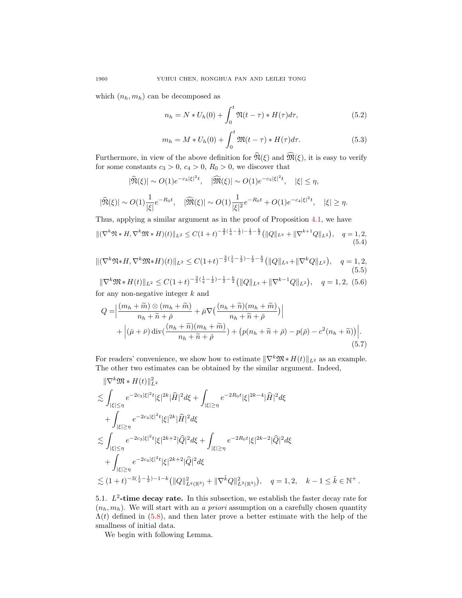which  $(n_h, m_h)$  can be decomposed as

$$
n_h = N * U_h(0) + \int_0^t \mathfrak{N}(t - \tau) * H(\tau) d\tau,
$$
\n(5.2)

$$
m_h = M * U_h(0) + \int_0^t \mathfrak{M}(t - \tau) * H(\tau) d\tau.
$$
 (5.3)

Furthermore, in view of the above definition for  $\widehat{\mathfrak{N}}(\xi)$  and  $\widehat{\mathfrak{M}}(\xi)$ , it is easy to verify for some constants  $c_3 > 0$ ,  $c_4 > 0$ ,  $R_0 > 0$ , we discover that

$$
|\widehat{\mathfrak{N}}(\xi)| \sim O(1)e^{-c_3|\xi|^2 t}, \quad |\widehat{\mathfrak{M}}(\xi)| \sim O(1)e^{-c_3|\xi|^2 t}, \quad |\xi| \le \eta,
$$
  

$$
|\widehat{\mathfrak{N}}(\xi)| \sim O(1)\frac{1}{|\xi|}e^{-R_0 t}, \quad |\widehat{\mathfrak{M}}(\xi)| \sim O(1)\frac{1}{|\xi|^2}e^{-R_0 t} + O(1)e^{-c_4|\xi|^2 t}, \quad |\xi| \ge \eta.
$$

Thus, applying a similar argument as in the proof of Proposition [4.1,](#page-8-0) we have

<span id="page-15-1"></span>
$$
\|(\nabla^k \mathfrak{N} * H, \nabla^k \mathfrak{M} * H)(t)\|_{L^2} \le C(1+t)^{-\frac{3}{2}(\frac{1}{q}-\frac{1}{2})-\frac{1}{2}-\frac{k}{2}} \left(\|Q\|_{L^q} + \|\nabla^{k+1} Q\|_{L^2}\right), \quad q = 1, 2,
$$
\n(5.4)

<span id="page-15-2"></span>
$$
\|(\nabla^k \mathfrak{N} * H, \nabla^k \mathfrak{M} * H)(t)\|_{L^2} \le C(1+t)^{-\frac{3}{2}(\frac{1}{q}-\frac{1}{2})-\frac{1}{2}-\frac{k}{2}} \left(\|Q\|_{L^q} + \|\nabla^k Q\|_{L^2}\right), \quad q = 1, 2,
$$
\n
$$
(5.5)
$$

<span id="page-15-3"></span> $\|\nabla^k \mathfrak{M} * H(t)\|_{L^2} \leq C(1+t)^{-\frac{3}{2}(\frac{1}{q}-\frac{1}{2})-\frac{1}{2}-\frac{k}{2}} \left(\|Q\|_{L^q} + \|\nabla^{k-1} Q\|_{L^2}\right), \quad q=1,2, (5.6)$ for any non-negative integer  $k$  and

<span id="page-15-0"></span>
$$
Q = \left| \frac{(m_h + \widetilde{m}) \otimes (m_h + \widetilde{m})}{n_h + \widetilde{n} + \overline{\rho}} + \overline{\mu} \nabla \left( \frac{(n_h + \widetilde{n})(m_h + \widetilde{m})}{n_h + \widetilde{n} + \overline{\rho}} \right) \right| + \left| (\overline{\mu} + \overline{\nu}) \operatorname{div} \left( \frac{(n_h + \widetilde{n})(m_h + \widetilde{m})}{n_h + \widetilde{n} + \overline{\rho}} \right) + \left( p(n_h + \widetilde{n} + \overline{\rho}) - p(\overline{\rho}) - c^2(n_h + \widetilde{n}) \right) \right|.
$$
\n(5.7)

For readers' convenience, we show how to estimate  $\|\nabla^k \mathfrak{M} * H(t)\|_{L^2}$  as an example. The other two estimates can be obtained by the similar argument. Indeed,

$$
\begin{split}\n&\|\nabla^{k} \mathfrak{M} \ast H(t)\|_{L^{2}}^{2} \\
&\lesssim \int_{|\xi| \leq \eta} e^{-2c_{3}|\xi|^{2}t} |\xi|^{2k} |\widehat{H}|^{2} d\xi + \int_{|\xi| \geq \eta} e^{-2R_{0}t} |\xi|^{2k-4} |\widehat{H}|^{2} d\xi \\
&+ \int_{|\xi| \geq \eta} e^{-2c_{4}|\xi|^{2}t} |\xi|^{2k} |\widehat{H}|^{2} d\xi \\
&\lesssim \int_{|\xi| \leq \eta} e^{-2c_{3}|\xi|^{2}t} |\xi|^{2k+2} |\widehat{Q}|^{2} d\xi + \int_{|\xi| \geq \eta} e^{-2R_{0}t} |\xi|^{2k-2} |\widehat{Q}|^{2} d\xi \\
&+ \int_{|\xi| \geq \eta} e^{-2c_{4}|\xi|^{2}t} |\xi|^{2k+2} |\widehat{Q}|^{2} d\xi \\
&\lesssim (1+t)^{-3(\frac{1}{q}-\frac{1}{2})-1-k} \big( \|Q\|_{L^{q}(\mathbb{R}^{3})}^{2} + \|\nabla^{k} Q\|_{L^{2}(\mathbb{R}^{3})}^{2}\big), \quad q = 1, 2, \quad k - 1 \leq \tilde{k} \in \mathbb{N}^{+}.\n\end{split}
$$

5.1.  $L^2$ -time decay rate. In this subsection, we establish the faster decay rate for  $(n_h, m_h)$ . We will start with an a priori assumption on a carefully chosen quantity  $\Lambda(t)$  defined in [\(5.8\)](#page-16-0), and then later prove a better estimate with the help of the smallness of initial data.

We begin with following Lemma.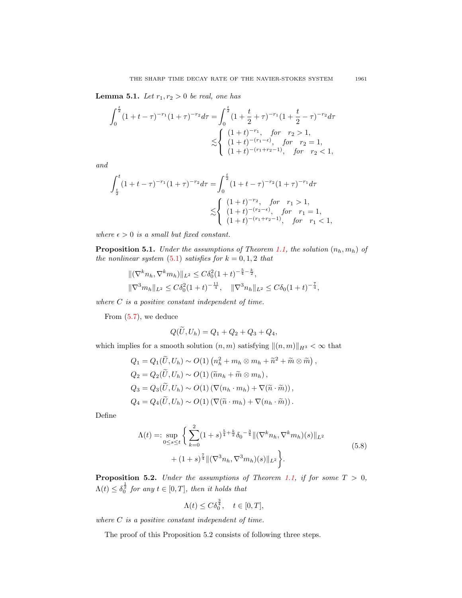**Lemma 5.1.** Let  $r_1, r_2 > 0$  be real, one has

$$
\int_0^{\frac{t}{2}} (1+t-\tau)^{-r_1} (1+\tau)^{-r_2} d\tau = \int_0^{\frac{t}{2}} (1+\frac{t}{2}+\tau)^{-r_1} (1+\frac{t}{2}-\tau)^{-r_2} d\tau
$$
  

$$
\lesssim \begin{cases} (1+t)^{-r_1}, & \text{for } r_2 > 1, \\ (1+t)^{-(r_1-\epsilon)}, & \text{for } r_2 = 1, \\ (1+t)^{-(r_1+r_2-1)}, & \text{for } r_2 < 1, \end{cases}
$$

and

$$
\int_{\frac{t}{2}}^{t} (1+t-\tau)^{-r_1} (1+\tau)^{-r_2} d\tau = \int_{0}^{\frac{t}{2}} (1+t-\tau)^{-r_2} (1+\tau)^{-r_1} d\tau
$$
  

$$
\lesssim \begin{cases} (1+t)^{-r_2}, & \text{for } r_1 > 1, \\ (1+t)^{-(r_2-\epsilon)}, & \text{for } r_1 = 1, \\ (1+t)^{-(r_1+r_2-1)}, & \text{for } r_1 < 1, \end{cases}
$$

where  $\epsilon > 0$  is a small but fixed constant.

**Proposition 5.1.** Under the assumptions of Theorem [1.1,](#page-2-3) the solution  $(n_h, m_h)$  of the nonlinear system  $(5.1)$  satisfies for  $k = 0, 1, 2$  that

$$
\begin{aligned} &\|(\nabla^k n_h, \nabla^k m_h)\|_{L^2} \le C\delta_0^2 (1+t)^{-\frac{5}{4}-\frac{k}{2}},\\ &\|\nabla^3 m_h\|_{L^2} \le C\delta_0^2 (1+t)^{-\frac{11}{4}}, \quad \|\nabla^3 n_h\|_{L^2} \le C\delta_0 (1+t)^{-\frac{7}{4}}, \end{aligned}
$$

where  $C$  is a positive constant independent of time.

From [\(5.7\)](#page-15-0), we deduce

$$
Q(U, U_h) = Q_1 + Q_2 + Q_3 + Q_4,
$$

which implies for a smooth solution  $(n, m)$  satisfying  $\|(n, m)\|_{H^3} < \infty$  that

$$
Q_1 = Q_1(\widetilde{U}, U_h) \sim O(1) (n_h^2 + m_h \otimes m_h + \widetilde{n}^2 + \widetilde{m} \otimes \widetilde{m}),
$$
  
\n
$$
Q_2 = Q_2(\widetilde{U}, U_h) \sim O(1) (\widetilde{n}n_h + \widetilde{m} \otimes m_h),
$$
  
\n
$$
Q_3 = Q_3(\widetilde{U}, U_h) \sim O(1) (\nabla(n_h \cdot m_h) + \nabla(\widetilde{n} \cdot \widetilde{m})),
$$
  
\n
$$
Q_4 = Q_4(\widetilde{U}, U_h) \sim O(1) (\nabla(\widetilde{n} \cdot m_h) + \nabla(n_h \cdot \widetilde{m})).
$$

<span id="page-16-0"></span>Define

$$
\Lambda(t) =: \sup_{0 \le s \le t} \left\{ \sum_{k=0}^{2} (1+s)^{\frac{5}{4} + \frac{k}{2}} \delta_0^{-\frac{3}{4}} \| (\nabla^k n_h, \nabla^k m_h)(s) \|_{L^2} + (1+s)^{\frac{7}{4}} \| (\nabla^3 n_h, \nabla^3 m_h)(s) \|_{L^2} \right\}.
$$
\n(5.8)

**Proposition 5.2.** Under the assumptions of Theorem [1.1,](#page-2-3) if for some  $T > 0$ ,  $\Lambda(t) \leq \delta_0^{\frac{1}{2}}$  for any  $t \in [0, T]$ , then it holds that

$$
\Lambda(t) \le C \delta_0^{\frac{3}{4}}, \quad t \in [0, T],
$$

where  $C$  is a positive constant independent of time.

The proof of this Proposition 5.2 consists of following three steps.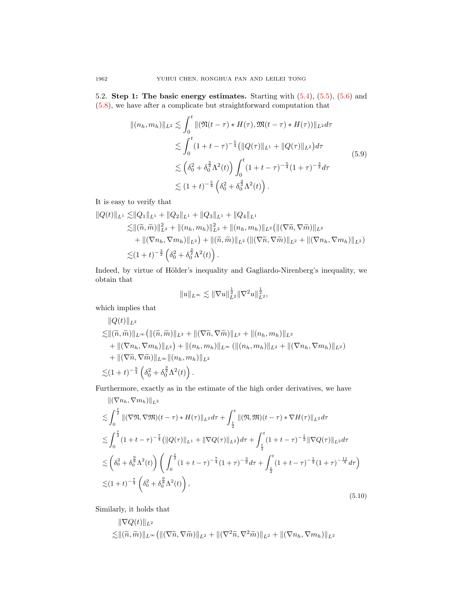5.2. Step 1: The basic energy estimates. Starting with  $(5.4)$ ,  $(5.5)$ ,  $(5.6)$  and [\(5.8\)](#page-16-0), we have after a complicate but straightforward computation that

<span id="page-17-0"></span>
$$
\begin{split} \|(n_h, m_h)\|_{L^2} &\lesssim \int_0^t \|\left(\Re(t-\tau) * H(\tau), \Re(t-\tau) * H(\tau)\right)\|_{L^2} d\tau \\ &\lesssim \int_0^t (1+t-\tau)^{-\frac{5}{4}} \left(\|Q(\tau)\|_{L^1} + \|Q(\tau)\|_{L^2}\right) d\tau \\ &\lesssim \left(\delta_0^2 + \delta_0^{\frac{3}{2}} \Lambda^2(t)\right) \int_0^t (1+t-\tau)^{-\frac{5}{4}} (1+\tau)^{-\frac{3}{2}} d\tau \\ &\lesssim (1+t)^{-\frac{5}{4}} \left(\delta_0^2 + \delta_0^{\frac{3}{2}} \Lambda^2(t)\right). \end{split} \tag{5.9}
$$

It is easy to verify that

$$
\|Q(t)\|_{L^{1}} \lesssim \|Q_{1}\|_{L^{1}} + \|Q_{2}\|_{L^{1}} + \|Q_{3}\|_{L^{1}} + \|Q_{4}\|_{L^{1}}\lesssim \|(\widetilde{n}, \widetilde{m})\|_{L^{2}}^{2} + \|(n_{h}, m_{h})\|_{L^{2}}^{2} + \|(n_{h}, m_{h})\|_{L^{2}} (\|(\nabla \widetilde{n}, \nabla \widetilde{m})\|_{L^{2}}+ \|(\nabla n_{h}, \nabla m_{h})\|_{L^{2}}) + \|(\widetilde{n}, \widetilde{m})\|_{L^{2}} (\|(\nabla \widetilde{n}, \nabla \widetilde{m})\|_{L^{2}} + \|(\nabla n_{h}, \nabla m_{h})\|_{L^{2}})\lesssim (1+t)^{-\frac{3}{2}} \left(\delta_{0}^{2} + \delta_{0}^{\frac{3}{2}} \Lambda^{2}(t)\right).
$$

Indeed, by virtue of Hölder's inequality and Gagliardo-Nirenberg's inequality, we obtain that

$$
||u||_{L^{\infty}} \lesssim ||\nabla u||_{L^{2}}^{\frac{1}{2}} ||\nabla^{2} u||_{L^{2}}^{\frac{1}{2}},
$$

which implies that

$$
\|Q(t)\|_{L^2} \n\lesssim \|(\widetilde{n},\widetilde{m})\|_{L^{\infty}} (\|(\widetilde{n},\widetilde{m})\|_{L^2} + \|(\nabla \widetilde{n},\nabla \widetilde{m})\|_{L^2} + \|({n_h},{m_h})\|_{L^2} \n+ \|(\nabla n_h,\nabla m_h)\|_{L^2}) + \|({n_h},{m_h})\|_{L^{\infty}} (\|({n_h},{m_h})\|_{L^2} + \|(\nabla n_h,\nabla m_h)\|_{L^2}) \n+ \|(\nabla \widetilde{n},\nabla \widetilde{m})\|_{L^{\infty}} \|(n_h,m_h)\|_{L^2} \n\lesssim (1+t)^{-\frac{9}{4}} \left(\delta_0^2 + \delta_0^{\frac{3}{2}}\Lambda^2(t)\right).
$$

Furthermore, exactly as in the estimate of the high order derivatives, we have

<span id="page-17-1"></span>
$$
\begin{split}\n\|(\nabla n_h, \nabla m_h)\|_{L^2} \\
&\lesssim \int_0^{\frac{t}{2}} \|(\nabla \mathfrak{N}, \nabla \mathfrak{M})(t-\tau) * H(\tau)\|_{L^2} d\tau + \int_{\frac{t}{2}}^t \|(\mathfrak{N}, \mathfrak{M})(t-\tau) * \nabla H(\tau)\|_{L^2} d\tau \\
&\lesssim \int_0^{\frac{t}{2}} (1+t-\tau)^{-\frac{7}{4}} (\|Q(\tau)\|_{L^1} + \|\nabla Q(\tau)\|_{L^2}) d\tau + \int_{\frac{t}{2}}^t (1+t-\tau)^{-\frac{1}{2}} \|\nabla Q(\tau)\|_{L^2} d\tau \\
&\lesssim \left(\delta_0^2 + \delta_0^{\frac{9}{8}} \Lambda^2(t)\right) \left(\int_0^{\frac{t}{2}} (1+t-\tau)^{-\frac{7}{4}} (1+\tau)^{-\frac{3}{2}} d\tau + \int_{\frac{t}{2}}^t (1+t-\tau)^{-\frac{1}{2}} (1+\tau)^{-\frac{11}{4}} d\tau\right) \\
&\lesssim (1+t)^{-\frac{7}{4}} \left(\delta_0^2 + \delta_0^{\frac{9}{8}} \Lambda^2(t)\right),\n\end{split} \tag{5.10}
$$

Similarly, it holds that

$$
\|\nabla Q(t)\|_{L^2}
$$
  

$$
\lesssim ||(\widetilde{n},\widetilde{m})||_{L^{\infty}}\left(||(\nabla \widetilde{n},\nabla \widetilde{m})||_{L^2}+||(\nabla^2 \widetilde{n},\nabla^2 \widetilde{m})||_{L^2}+||(\nabla n_h,\nabla m_h)||_{L^2}\right)
$$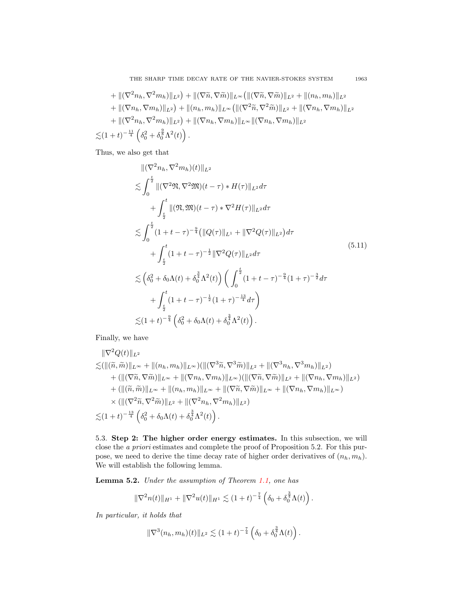THE SHARP TIME DECAY RATE OF THE NAVIER-STOKES SYSTEM 1963

+ 
$$
\|(\nabla^2 n_h, \nabla^2 m_h)\|_{L^2}\right)
$$
 +  $\|(\nabla \tilde{n}, \nabla \tilde{m})\|_{L^{\infty}} (\|(\nabla \tilde{n}, \nabla \tilde{m})\|_{L^2} + \|n_h, m_h)\|_{L^2}$   
+  $\|(\nabla n_h, \nabla m_h)\|_{L^2}\right)$  +  $\|(n_h, m_h)\|_{L^{\infty}} (\|(\nabla^2 \tilde{n}, \nabla^2 \tilde{m})\|_{L^2} + \|(\nabla n_h, \nabla m_h)\|_{L^2}$   
+  $\|(\nabla^2 n_h, \nabla^2 m_h)\|_{L^2}\right)$  +  $\|(\nabla n_h, \nabla m_h)\|_{L^{\infty}} \|(\nabla n_h, \nabla m_h)\|_{L^2}$   
 $\lesssim (1+t)^{-\frac{11}{4}} (\delta_0^2 + \delta_0^{\frac{2}{8}}\Lambda^2(t)).$ 

Thus, we also get that

<span id="page-18-0"></span>
$$
\begin{split}\n&\|\nabla^2 n_h, \nabla^2 m_h)(t)\|_{L^2} \\
&\lesssim \int_0^{\frac{t}{2}} \|(\nabla^2 \mathfrak{N}, \nabla^2 \mathfrak{M})(t-\tau) * H(\tau)\|_{L^2} d\tau \\
&+ \int_{\frac{t}{2}}^t \|(\mathfrak{N}, \mathfrak{M})(t-\tau) * \nabla^2 H(\tau)\|_{L^2} d\tau \\
&\lesssim \int_0^{\frac{t}{2}} (1+t-\tau)^{-\frac{9}{4}} (\|Q(\tau)\|_{L^1} + \|\nabla^2 Q(\tau)\|_{L^2}) d\tau \\
&+ \int_{\frac{t}{2}}^t (1+t-\tau)^{-\frac{1}{2}} \|\nabla^2 Q(\tau)\|_{L^2} d\tau \\
&\lesssim \left(\delta_0^2 + \delta_0 \Lambda(t) + \delta_0^{\frac{3}{4}} \Lambda^2(t)\right) \left(\int_0^{\frac{t}{2}} (1+t-\tau)^{-\frac{9}{4}} (1+\tau)^{-\frac{3}{2}} d\tau \\
&+ \int_{\frac{t}{2}}^t (1+t-\tau)^{-\frac{1}{2}} (1+\tau)^{-\frac{13}{4}} d\tau\right) \\
&\lesssim (1+t)^{-\frac{9}{4}} \left(\delta_0^2 + \delta_0 \Lambda(t) + \delta_0^{\frac{3}{4}} \Lambda^2(t)\right).\n\end{split}
$$
\n(5.11)

Finally, we have

$$
\|\nabla^2 Q(t)\|_{L^2} \n\lesssim (\|(\widetilde{n}, \widetilde{m})\|_{L^{\infty}} + \|(n_h, m_h)\|_{L^{\infty}}) (\|(\nabla^3 \widetilde{n}, \nabla^3 \widetilde{m})\|_{L^2} + \|(\nabla^3 n_h, \nabla^3 m_h)\|_{L^2}) \n+ (\|(\nabla \widetilde{n}, \nabla \widetilde{m})\|_{L^{\infty}} + \|(\nabla n_h, \nabla m_h)\|_{L^{\infty}}) (\|(\nabla \widetilde{n}, \nabla \widetilde{m})\|_{L^2} + \|(\nabla n_h, \nabla m_h)\|_{L^2}) \n+ (\|(\widetilde{n}, \widetilde{m})\|_{L^{\infty}} + \|n_h, m_h)\|_{L^{\infty}} + \|(\nabla \widetilde{n}, \nabla \widetilde{m})\|_{L^{\infty}} + \|(\nabla n_h, \nabla m_h)\|_{L^{\infty}}) \n\times (\|(\nabla^2 \widetilde{n}, \nabla^2 \widetilde{m})\|_{L^2} + \|(\nabla^2 n_h, \nabla^2 m_h)\|_{L^2}) \n\lesssim (1+t)^{-\frac{13}{4}} \left(\delta_0^2 + \delta_0 \Lambda(t) + \delta_0^{\frac{3}{4}} \Lambda^2(t)\right).
$$

5.3. Step 2: The higher order energy estimates. In this subsection, we will close the a priori estimates and complete the proof of Proposition 5.2. For this purpose, we need to derive the time decay rate of higher order derivatives of  $(n_h, m_h)$ . We will establish the following lemma.

<span id="page-18-1"></span>Lemma 5.2. Under the assumption of Theorem [1.1,](#page-2-3) one has

$$
\|\nabla^2 n(t)\|_{H^1} + \|\nabla^2 u(t)\|_{H^1} \lesssim (1+t)^{-\frac{7}{4}} \left(\delta_0 + \delta_0^{\frac{3}{4}} \Lambda(t)\right).
$$

In particular, it holds that

$$
\|\nabla^3(n_h, m_h)(t)\|_{L^2} \lesssim (1+t)^{-\frac{7}{4}} \left(\delta_0 + \delta_0^{\frac{3}{4}} \Lambda(t)\right).
$$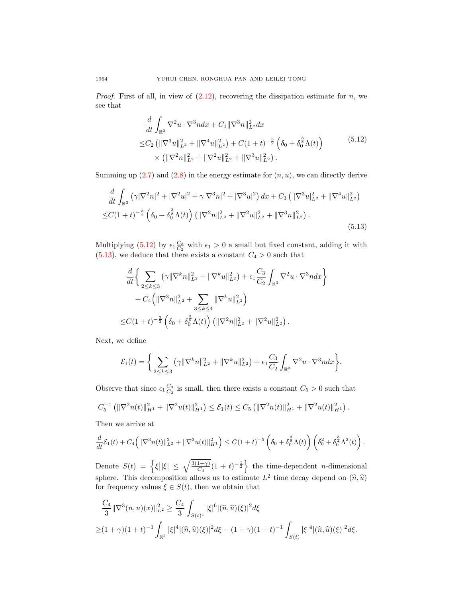*Proof.* First of all, in view of  $(2.12)$ , recovering the dissipation estimate for *n*, we see that

$$
\frac{d}{dt} \int_{\mathbb{R}^3} \nabla^2 u \cdot \nabla^3 n dx + C_1 \| \nabla^3 n \|_{L^2}^2 dx
$$
\n
$$
\leq C_2 \left( \| \nabla^3 u \|_{L^2}^2 + \| \nabla^4 u \|_{L^2}^2 \right) + C \left( 1 + t \right)^{-\frac{3}{2}} \left( \delta_0 + \delta_0^{\frac{3}{8}} \Lambda(t) \right) \times \left( \| \nabla^2 n \|_{L^2}^2 + \| \nabla^2 u \|_{L^2}^2 + \| \nabla^3 u \|_{L^2}^2 \right). \tag{5.12}
$$

<span id="page-19-0"></span>Summing up  $(2.7)$  and  $(2.8)$  in the energy estimate for  $(n, u)$ , we can directly derive

<span id="page-19-1"></span>
$$
\frac{d}{dt} \int_{\mathbb{R}^3} \left( \gamma |\nabla^2 n|^2 + |\nabla^2 u|^2 + \gamma |\nabla^3 n|^2 + |\nabla^3 u|^2 \right) dx + C_3 \left( \|\nabla^3 u\|_{L^2}^2 + \|\nabla^4 u\|_{L^2}^2 \right) \n\leq C (1+t)^{-\frac{3}{2}} \left( \delta_0 + \delta_0^{\frac{3}{8}} \Lambda(t) \right) \left( \|\nabla^2 n\|_{L^2}^2 + \|\nabla^2 u\|_{L^2}^2 + \|\nabla^3 n\|_{L^2}^2 \right).
$$
\n(5.13)

Multiplying [\(5.12\)](#page-19-0) by  $\epsilon_1 \frac{C_3}{C_2}$  with  $\epsilon_1 > 0$  a small but fixed constant, adding it with  $(5.13)$ , we deduce that there exists a constant  $C_4 > 0$  such that

$$
\frac{d}{dt} \Big\{ \sum_{2 \le k \le 3} (\gamma \|\nabla^k n\|_{L^2}^2 + \|\nabla^k u\|_{L^2}^2) + \epsilon_1 \frac{C_3}{C_2} \int_{\mathbb{R}^3} \nabla^2 u \cdot \nabla^3 n dx \Big\} \n+ C_4 \Big( \|\nabla^3 n\|_{L^2}^2 + \sum_{3 \le k \le 4} \|\nabla^k u\|_{L^2}^2 \Big) \n\le C(1+t)^{-\frac{3}{2}} \left( \delta_0 + \delta_0^{\frac{3}{8}} \Lambda(t) \right) \left( \|\nabla^2 n\|_{L^2}^2 + \|\nabla^2 u\|_{L^2}^2 \right).
$$

Next, we define

$$
\mathcal{E}_1(t) = \bigg\{ \sum_{2 \le k \le 3} (\gamma \|\nabla^k n\|_{L^2}^2 + \|\nabla^k u\|_{L^2}^2) + \epsilon_1 \frac{C_3}{C_2} \int_{\mathbb{R}^3} \nabla^2 u \cdot \nabla^3 n dx \bigg\}.
$$

Observe that since  $\epsilon_1 \frac{C_3}{C_2}$  is small, then there exists a constant  $C_5 > 0$  such that

$$
C_5^{-1} \left( \|\nabla^2 n(t)\|_{H^1}^2 + \|\nabla^2 u(t)\|_{H^1}^2 \right) \leq \mathcal{E}_1(t) \leq C_5 \left( \|\nabla^2 n(t)\|_{H^1}^2 + \|\nabla^2 u(t)\|_{H^1}^2 \right).
$$

Then we arrive at

$$
\frac{d}{dt}\mathcal{E}_1(t) + C_4 \left( \|\nabla^3 n(t)\|_{L^2}^2 + \|\nabla^3 u(t)\|_{H^1}^2 \right) \leq C(1+t)^{-5} \left( \delta_0 + \delta_0^{\frac{3}{8}} \Lambda(t) \right) \left( \delta_0^2 + \delta_0^{\frac{3}{2}} \Lambda^2(t) \right).
$$

Denote  $S(t) = \left\{ \xi \left| |\xi| \leq \sqrt{\frac{3(1+\gamma)}{C_4}} (1+t)^{-\frac{1}{2}} \right\} \right\}$  the time-dependent *n*-dimensional sphere. This decomposition allows us to estimate  $L^2$  time decay depend on  $(\hat{n}, \hat{u})$  for frequency values  $\xi \in S(t)$ , then we obtain that for frequency values  $\xi \in S(t)$ , then we obtain that

$$
\frac{C_4}{3} \|\nabla^3(n, u)(x)\|_{L^2}^2 \ge \frac{C_4}{3} \int_{S(t)^c} |\xi|^6 |(\hat{n}, \hat{u})(\xi)|^2 d\xi
$$
  
 
$$
\ge (1 + \gamma)(1 + t)^{-1} \int_{\mathbb{R}^3} |\xi|^4 |(\hat{n}, \hat{u})(\xi)|^2 d\xi - (1 + \gamma)(1 + t)^{-1} \int_{S(t)} |\xi|^4 |(\hat{n}, \hat{u})(\xi)|^2 d\xi.
$$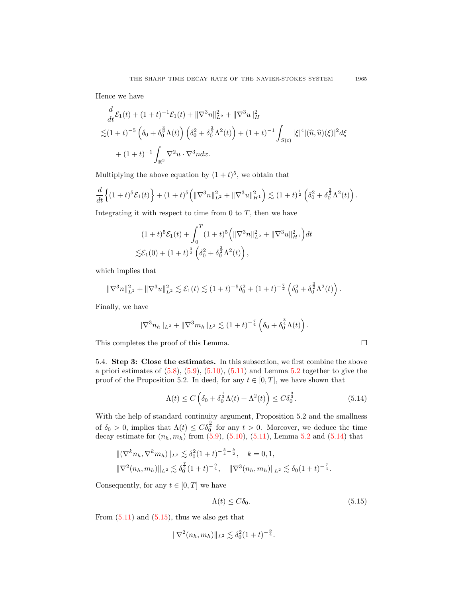Hence we have

$$
\frac{d}{dt}\mathcal{E}_1(t) + (1+t)^{-1}\mathcal{E}_1(t) + \|\nabla^3 n\|_{L^2}^2 + \|\nabla^3 u\|_{H^1}^2
$$
\n
$$
\lesssim (1+t)^{-5} \left(\delta_0 + \delta_0^{\frac{3}{8}} \Lambda(t)\right) \left(\delta_0^2 + \delta_0^{\frac{3}{2}} \Lambda^2(t)\right) + (1+t)^{-1} \int_{S(t)} |\xi|^4 |(\hat{n}, \hat{u})(\xi)|^2 d\xi
$$
\n
$$
+ (1+t)^{-1} \int_{\mathbb{R}^3} \nabla^2 u \cdot \nabla^3 n dx.
$$

Multiplying the above equation by  $(1 + t)^5$ , we obtain that

$$
\frac{d}{dt}\left\{(1+t)^5\mathcal{E}_1(t)\right\} + (1+t)^5\left(\|\nabla^3 n\|_{L^2}^2 + \|\nabla^3 u\|_{H^1}^2\right) \lesssim (1+t)^{\frac{1}{2}}\left(\delta_0^2 + \delta_0^{\frac{3}{2}}\Lambda^2(t)\right).
$$

Integrating it with respect to time from 0 to  $T$ , then we have

$$
(1+t)^5 \mathcal{E}_1(t) + \int_0^T (1+t)^5 \left( \|\nabla^3 n\|_{L^2}^2 + \|\nabla^3 u\|_{H^1}^2 \right) dt
$$
  

$$
\lesssim \mathcal{E}_1(0) + (1+t)^{\frac{3}{2}} \left( \delta_0^2 + \delta_0^{\frac{3}{2}} \Lambda^2(t) \right),
$$

which implies that

$$
\|\nabla^3 n\|_{L^2}^2 + \|\nabla^3 u\|_{L^2}^2 \lesssim \mathcal{E}_1(t) \lesssim (1+t)^{-5} \delta_0^2 + (1+t)^{-\frac{7}{2}} \left(\delta_0^2 + \delta_0^{\frac{3}{2}} \Lambda^2(t)\right).
$$

Finally, we have

$$
\|\nabla^3 n_h\|_{L^2} + \|\nabla^3 m_h\|_{L^2} \lesssim (1+t)^{-\frac{7}{4}} \left(\delta_0 + \delta_0^{\frac{3}{4}} \Lambda(t)\right).
$$

This completes the proof of this Lemma.

5.4. Step 3: Close the estimates. In this subsection, we first combine the above a priori estimates of  $(5.8)$ ,  $(5.9)$ ,  $(5.10)$ ,  $(5.11)$  and Lemma [5.2](#page-18-1) together to give the proof of the Proposition 5.2. In deed, for any  $t \in [0, T]$ , we have shown that

<span id="page-20-0"></span>
$$
\Lambda(t) \le C\left(\delta_0 + \delta_0^{\frac{1}{4}}\Lambda(t) + \Lambda^2(t)\right) \le C\delta_0^{\frac{3}{4}}.\tag{5.14}
$$

With the help of standard continuity argument, Proposition 5.2 and the smallness of  $\delta_0 > 0$ , implies that  $\Lambda(t) \leq C \delta_0^{\frac{3}{4}}$  for any  $t > 0$ . Moreover, we deduce the time decay estimate for  $(n_h, m_h)$  from  $(5.9)$ ,  $(5.10)$ ,  $(5.11)$ , Lemma [5.2](#page-18-1) and  $(5.14)$  that

$$
\begin{aligned} &\|(\nabla^k n_h, \nabla^k m_h)\|_{L^2} \lesssim \delta_0^2 (1+t)^{-\frac{5}{4}-\frac{k}{2}}, \quad k = 0, 1, \\ &\|\nabla^2 (n_h, m_h)\|_{L^2} \lesssim \delta_0^{\frac{7}{4}} (1+t)^{-\frac{9}{4}}, \quad \|\nabla^3 (n_h, m_h)\|_{L^2} \lesssim \delta_0 (1+t)^{-\frac{7}{4}}. \end{aligned}
$$

Consequently, for any  $t \in [0, T]$  we have

<span id="page-20-1"></span>
$$
\Lambda(t) \le C\delta_0. \tag{5.15}
$$

 $\Box$ 

From  $(5.11)$  and  $(5.15)$ , thus we also get that

$$
\|\nabla^2(n_h, m_h)\|_{L^2} \lesssim \delta_0^2 (1+t)^{-\frac{9}{4}}.
$$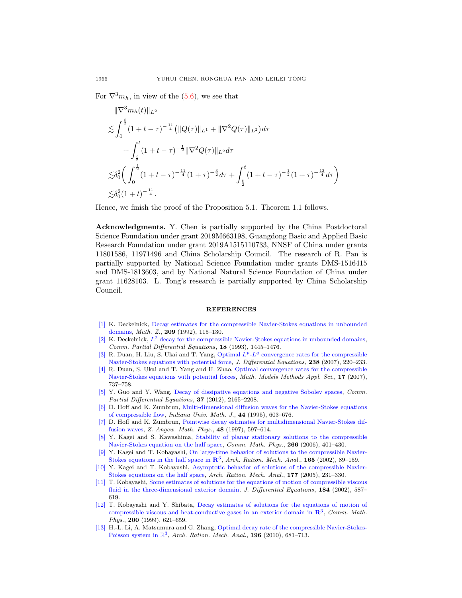For  $\nabla^3 m_h$ , in view of the [\(5.6\)](#page-15-3), we see that

$$
\|\nabla^3 m_h(t)\|_{L^2}
$$
  
\n
$$
\lesssim \int_0^{\frac{t}{2}} (1+t-\tau)^{-\frac{11}{4}} (\|Q(\tau)\|_{L^1} + \|\nabla^2 Q(\tau)\|_{L^2}) d\tau
$$
  
\n
$$
+ \int_{\frac{t}{2}}^t (1+t-\tau)^{-\frac{1}{2}} \|\nabla^2 Q(\tau)\|_{L^2} d\tau
$$
  
\n
$$
\lesssim \delta_0^2 \bigg( \int_0^{\frac{t}{2}} (1+t-\tau)^{-\frac{11}{4}} (1+\tau)^{-\frac{3}{2}} d\tau + \int_{\frac{t}{2}}^t (1+t-\tau)^{-\frac{1}{2}} (1+\tau)^{-\frac{13}{4}} d\tau \bigg)
$$
  
\n
$$
\lesssim \delta_0^2 (1+t)^{-\frac{11}{4}}.
$$

Hence, we finish the proof of the Proposition 5.1. Theorem 1.1 follows.

Acknowledgments. Y. Chen is partially supported by the China Postdoctoral Science Foundation under grant 2019M663198, Guangdong Basic and Applied Basic Research Foundation under grant 2019A1515110733, NNSF of China under grants 11801586, 11971496 and China Scholarship Council. The research of R. Pan is partially supported by National Science Foundation under grants DMS-1516415 and DMS-1813603, and by National Natural Science Foundation of China under grant 11628103. L. Tong's research is partially supported by China Scholarship Council.

## REFERENCES

- <span id="page-21-8"></span>[\[1\]](http://www.ams.org/mathscinet-getitem?mr=MR1143218&return=pdf) K. Deckelnick, [Decay estimates for the compressible Navier-Stokes equations in unbounded](http://dx.doi.org/10.1007/BF02570825) [domains,](http://dx.doi.org/10.1007/BF02570825) Math. Z., 209 (1992), 115–130.
- <span id="page-21-9"></span>[\[2\]](http://www.ams.org/mathscinet-getitem?mr=MR1239919&return=pdf) K. Deckelnick,  $L^2$  [decay for the compressible Navier-Stokes equations in unbounded domains,](http://dx.doi.org/10.1080/03605309308820981) Comm. Partial Differential Equations, 18 (1993), 1445–1476.
- <span id="page-21-11"></span>[\[3\]](http://www.ams.org/mathscinet-getitem?mr=MR2334596&return=pdf) R. Duan, H. Liu, S. Ukai and T. Yang, Optimal  $L^p L^q$  [convergence rates for the compressible](http://dx.doi.org/10.1016/j.jde.2007.03.008) [Navier-Stokes equations with potential force,](http://dx.doi.org/10.1016/j.jde.2007.03.008) J. Differential Equations, 238 (2007), 220–233.
- <span id="page-21-10"></span>[\[4\]](http://www.ams.org/mathscinet-getitem?mr=MR2325837&return=pdf) R. Duan, S. Ukai and T. Yang and H. Zhao, [Optimal convergence rates for the compressible](http://dx.doi.org/10.1142/S021820250700208X) [Navier-Stokes equations with potential forces,](http://dx.doi.org/10.1142/S021820250700208X) Math. Models Methods Appl. Sci., 17 (2007), 737–758.
- <span id="page-21-7"></span>[\[5\]](http://www.ams.org/mathscinet-getitem?mr=MR3005540&return=pdf) Y. Guo and Y. Wang, [Decay of dissipative equations and negative Sobolev spaces,](http://dx.doi.org/10.1080/03605302.2012.696296) Comm. Partial Differential Equations, 37 (2012), 2165–2208.
- <span id="page-21-0"></span>[\[6\]](http://www.ams.org/mathscinet-getitem?mr=MR1355414&return=pdf) D. Hoff and K. Zumbrun, [Multi-dimensional diffusion waves for the Navier-Stokes equations](http://dx.doi.org/10.1512/iumj.1995.44.2003) [of compressible flow,](http://dx.doi.org/10.1512/iumj.1995.44.2003) Indiana Univ. Math. J., 44 (1995), 603–676.
- <span id="page-21-1"></span>[\[7\]](http://www.ams.org/mathscinet-getitem?mr=MR1471469&return=pdf) D. Hoff and K. Zumbrun, [Pointwise decay estimates for multidimensional Navier-Stokes dif](http://dx.doi.org/10.1007/s000330050049)[fusion waves,](http://dx.doi.org/10.1007/s000330050049) Z. Angew. Math. Phys., 48 (1997), 597–614.
- <span id="page-21-6"></span>[\[8\]](http://www.ams.org/mathscinet-getitem?mr=MR2238883&return=pdf) Y. Kagei and S. Kawashima, [Stability of planar stationary solutions to the compressible](http://dx.doi.org/10.1007/s00220-006-0017-1) [Navier-Stokes equation on the half space,](http://dx.doi.org/10.1007/s00220-006-0017-1) Comm. Math. Phys., 266 (2006), 401–430.
- <span id="page-21-4"></span>[\[9\]](http://www.ams.org/mathscinet-getitem?mr=MR1946756&return=pdf) Y. Kagei and T. Kobayashi, [On large-time behavior of solutions to the compressible Navier-](http://dx.doi.org/10.1007/s00205-002-0221-x)[Stokes equations in the half space in](http://dx.doi.org/10.1007/s00205-002-0221-x)  $\mathbb{R}^3$ , Arch. Ration. Mech. Anal., 165 (2002), 89–159.
- <span id="page-21-5"></span>[\[10\]](http://www.ams.org/mathscinet-getitem?mr=MR2188049&return=pdf) Y. Kagei and T. Kobayashi, [Asymptotic behavior of solutions of the compressible Navier-](http://dx.doi.org/10.1007/s00205-005-0365-6)[Stokes equations on the half space,](http://dx.doi.org/10.1007/s00205-005-0365-6) Arch. Ration. Mech. Anal., 177 (2005), 231–330.
- <span id="page-21-3"></span>[\[11\]](http://www.ams.org/mathscinet-getitem?mr=MR1929890&return=pdf) T. Kobayashi, [Some estimates of solutions for the equations of motion of compressible viscous](http://dx.doi.org/10.1006/jdeq.2002.4158) [fluid in the three-dimensional exterior domain,](http://dx.doi.org/10.1006/jdeq.2002.4158) J. Differential Equations, 184 (2002), 587– 619.
- <span id="page-21-2"></span>[\[12\]](http://www.ams.org/mathscinet-getitem?mr=MR1675129&return=pdf) T. Kobayashi and Y. Shibata, [Decay estimates of solutions for the equations of motion of](http://dx.doi.org/10.1007/s002200050543) [compressible viscous and heat-conductive gases in an exterior domain in](http://dx.doi.org/10.1007/s002200050543)  $\mathbb{R}^3$ , Comm. Math. Phys., 200 (1999), 621–659.
- <span id="page-21-12"></span>[\[13\]](http://www.ams.org/mathscinet-getitem?mr=MR2609958&return=pdf) H.-L. Li, A. Matsumura and G. Zhang, [Optimal decay rate of the compressible Navier-Stokes-](http://dx.doi.org/10.1007/s00205-009-0255-4)[Poisson system in](http://dx.doi.org/10.1007/s00205-009-0255-4)  $\mathbb{R}^3$ , Arch. Ration. Mech. Anal., 196 (2010), 681-713.